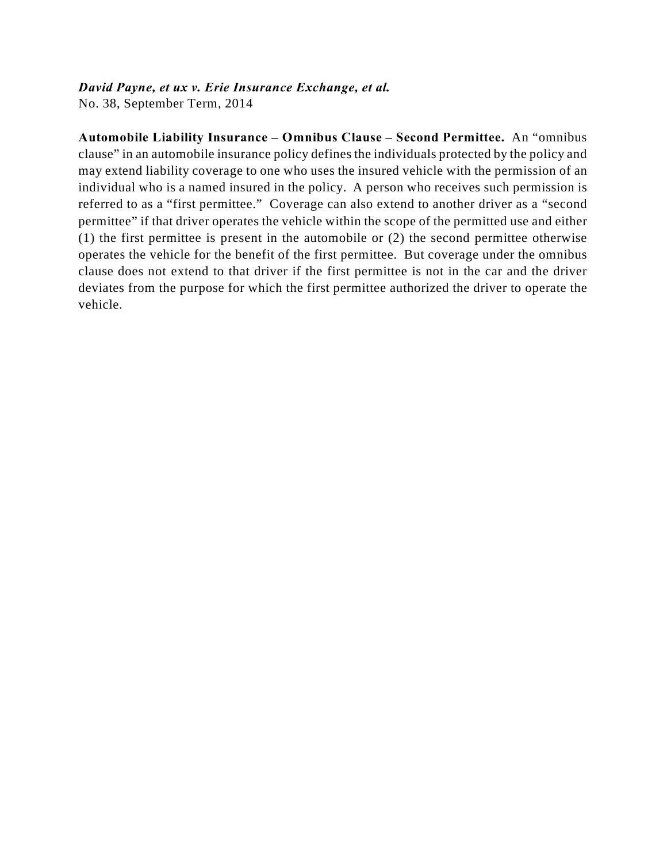# *David Payne, et ux v. Erie Insurance Exchange, et al.*

No. 38, September Term, 2014

**Automobile Liability Insurance – Omnibus Clause – Second Permittee.** An "omnibus clause" in an automobile insurance policy defines the individuals protected by the policy and may extend liability coverage to one who uses the insured vehicle with the permission of an individual who is a named insured in the policy. A person who receives such permission is referred to as a "first permittee." Coverage can also extend to another driver as a "second permittee" if that driver operates the vehicle within the scope of the permitted use and either (1) the first permittee is present in the automobile or (2) the second permittee otherwise operates the vehicle for the benefit of the first permittee. But coverage under the omnibus clause does not extend to that driver if the first permittee is not in the car and the driver deviates from the purpose for which the first permittee authorized the driver to operate the vehicle.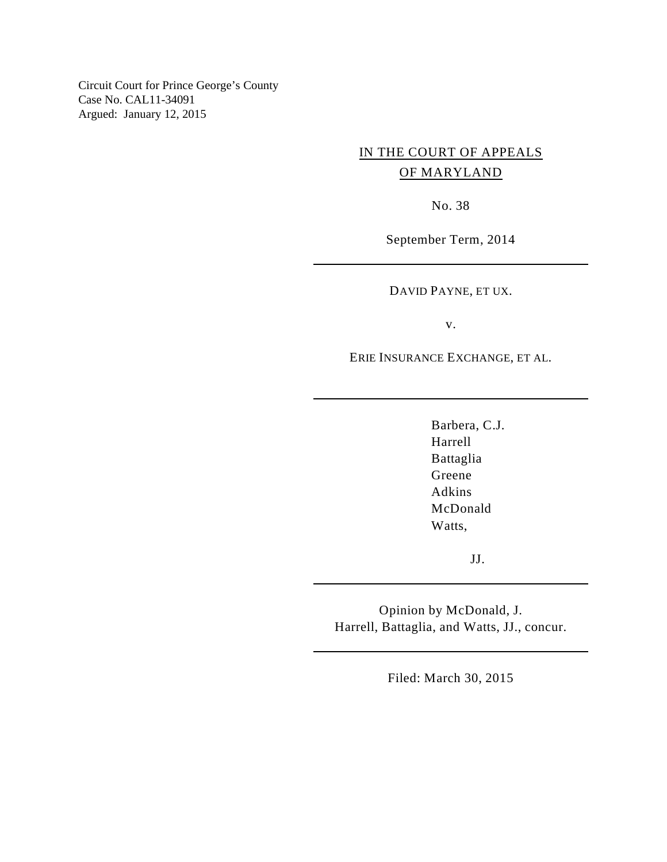Circuit Court for Prince George's County Case No. CAL11-34091 Argued: January 12, 2015

# IN THE COURT OF APPEALS OF MARYLAND

No. 38

September Term, 2014

DAVID PAYNE, ET UX.

v.

ERIE INSURANCE EXCHANGE, ET AL.

Barbera, C.J. Harrell Battaglia Greene Adkins McDonald Watts,

JJ.

Opinion by McDonald, J. Harrell, Battaglia, and Watts, JJ., concur.

Filed: March 30, 2015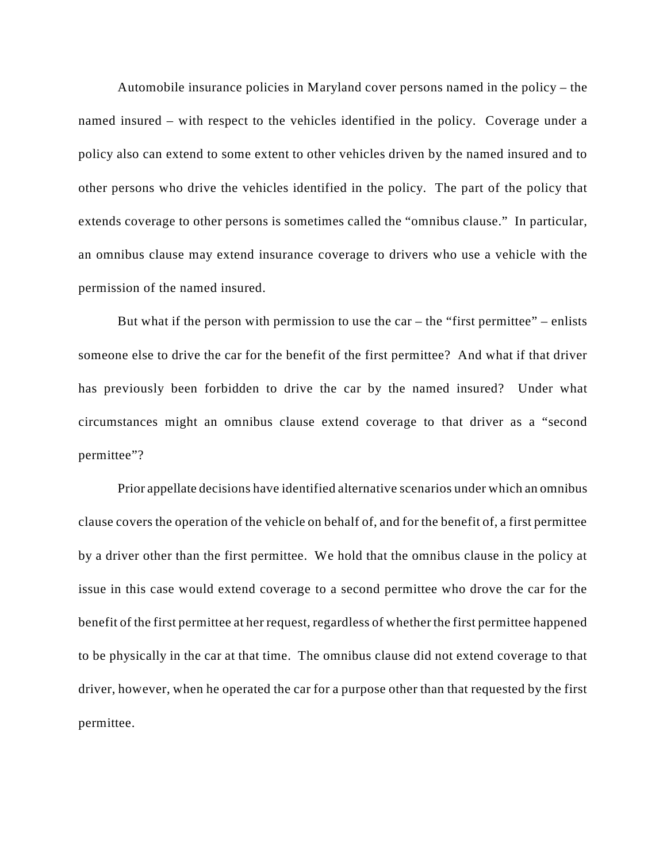Automobile insurance policies in Maryland cover persons named in the policy – the named insured – with respect to the vehicles identified in the policy. Coverage under a policy also can extend to some extent to other vehicles driven by the named insured and to other persons who drive the vehicles identified in the policy. The part of the policy that extends coverage to other persons is sometimes called the "omnibus clause." In particular, an omnibus clause may extend insurance coverage to drivers who use a vehicle with the permission of the named insured.

But what if the person with permission to use the car – the "first permittee" – enlists someone else to drive the car for the benefit of the first permittee? And what if that driver has previously been forbidden to drive the car by the named insured? Under what circumstances might an omnibus clause extend coverage to that driver as a "second permittee"?

Prior appellate decisions have identified alternative scenarios under which an omnibus clause covers the operation of the vehicle on behalf of, and for the benefit of, a first permittee by a driver other than the first permittee. We hold that the omnibus clause in the policy at issue in this case would extend coverage to a second permittee who drove the car for the benefit of the first permittee at her request, regardless of whether the first permittee happened to be physically in the car at that time. The omnibus clause did not extend coverage to that driver, however, when he operated the car for a purpose other than that requested by the first permittee.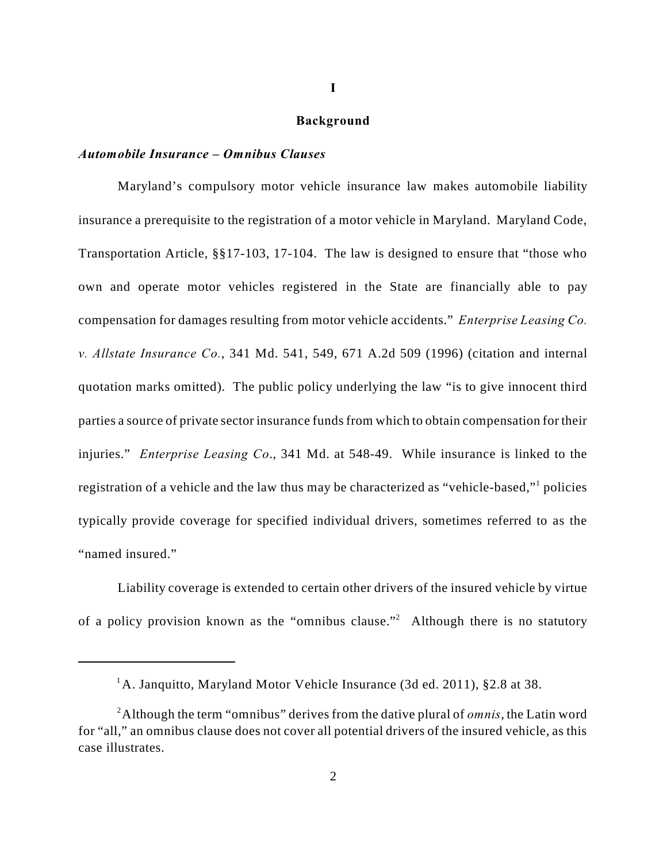#### **Background**

### *Automobile Insurance – Omnibus Clauses*

Maryland's compulsory motor vehicle insurance law makes automobile liability insurance a prerequisite to the registration of a motor vehicle in Maryland. Maryland Code, Transportation Article, §§17-103, 17-104. The law is designed to ensure that "those who own and operate motor vehicles registered in the State are financially able to pay compensation for damages resulting from motor vehicle accidents." *Enterprise Leasing Co. v. Allstate Insurance Co.*, 341 Md. 541, 549, 671 A.2d 509 (1996) (citation and internal quotation marks omitted). The public policy underlying the law "is to give innocent third parties a source of private sector insurance funds from which to obtain compensation for their injuries." *Enterprise Leasing Co*., 341 Md. at 548-49. While insurance is linked to the registration of a vehicle and the law thus may be characterized as "vehicle-based," policies typically provide coverage for specified individual drivers, sometimes referred to as the "named insured."

Liability coverage is extended to certain other drivers of the insured vehicle by virtue of a policy provision known as the "omnibus clause."<sup>2</sup> Although there is no statutory

<sup>&</sup>lt;sup>1</sup>A. Janquitto, Maryland Motor Vehicle Insurance (3d ed. 2011), §2.8 at 38.

Although the term "omnibus" derives from the dative plural of *omnis*, the Latin word <sup>2</sup> for "all," an omnibus clause does not cover all potential drivers of the insured vehicle, as this case illustrates.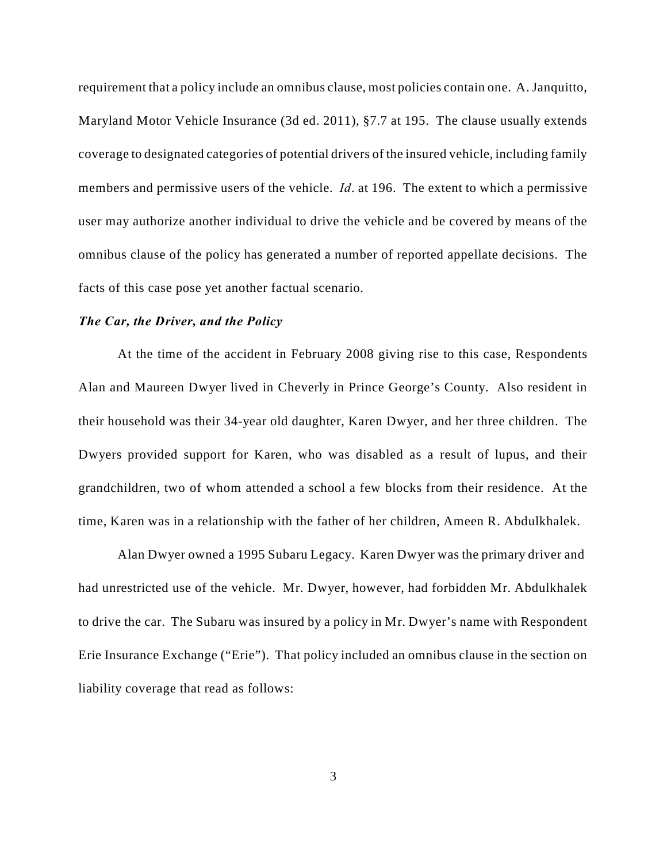requirement that a policy include an omnibus clause, most policies contain one. A. Janquitto, Maryland Motor Vehicle Insurance (3d ed. 2011), §7.7 at 195. The clause usually extends coverage to designated categories of potential drivers of the insured vehicle, including family members and permissive users of the vehicle. *Id*. at 196. The extent to which a permissive user may authorize another individual to drive the vehicle and be covered by means of the omnibus clause of the policy has generated a number of reported appellate decisions. The facts of this case pose yet another factual scenario.

#### *The Car, the Driver, and the Policy*

At the time of the accident in February 2008 giving rise to this case, Respondents Alan and Maureen Dwyer lived in Cheverly in Prince George's County. Also resident in their household was their 34-year old daughter, Karen Dwyer, and her three children. The Dwyers provided support for Karen, who was disabled as a result of lupus, and their grandchildren, two of whom attended a school a few blocks from their residence. At the time, Karen was in a relationship with the father of her children, Ameen R. Abdulkhalek.

Alan Dwyer owned a 1995 Subaru Legacy. Karen Dwyer was the primary driver and had unrestricted use of the vehicle. Mr. Dwyer, however, had forbidden Mr. Abdulkhalek to drive the car. The Subaru was insured by a policy in Mr. Dwyer's name with Respondent Erie Insurance Exchange ("Erie"). That policy included an omnibus clause in the section on liability coverage that read as follows: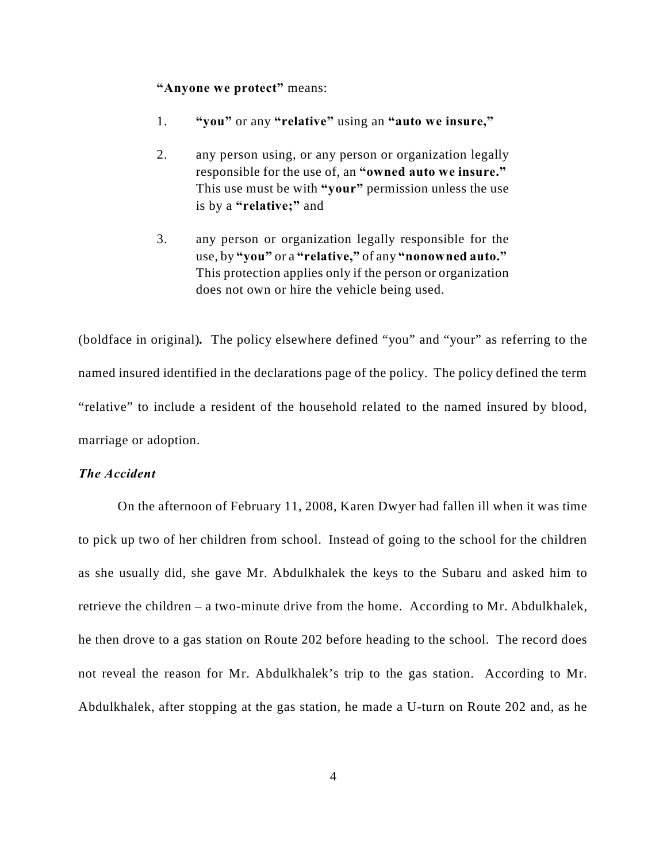#### **"Anyone we protect"** means:

- 1. **"you"** or any **"relative"** using an **"auto we insure,"**
- 2. any person using, or any person or organization legally responsible for the use of, an **"owned auto we insure."** This use must be with **"your"** permission unless the use is by a **"relative;"** and
- 3. any person or organization legally responsible for the use, by **"you"** or a **"relative,"** of any **"nonowned auto."** This protection applies only if the person or organization does not own or hire the vehicle being used.

(boldface in original)*.* The policy elsewhere defined "you" and "your" as referring to the named insured identified in the declarations page of the policy. The policy defined the term "relative" to include a resident of the household related to the named insured by blood, marriage or adoption.

## *The Accident*

On the afternoon of February 11, 2008, Karen Dwyer had fallen ill when it was time to pick up two of her children from school. Instead of going to the school for the children as she usually did, she gave Mr. Abdulkhalek the keys to the Subaru and asked him to retrieve the children – a two-minute drive from the home. According to Mr. Abdulkhalek, he then drove to a gas station on Route 202 before heading to the school. The record does not reveal the reason for Mr. Abdulkhalek's trip to the gas station. According to Mr. Abdulkhalek, after stopping at the gas station, he made a U-turn on Route 202 and, as he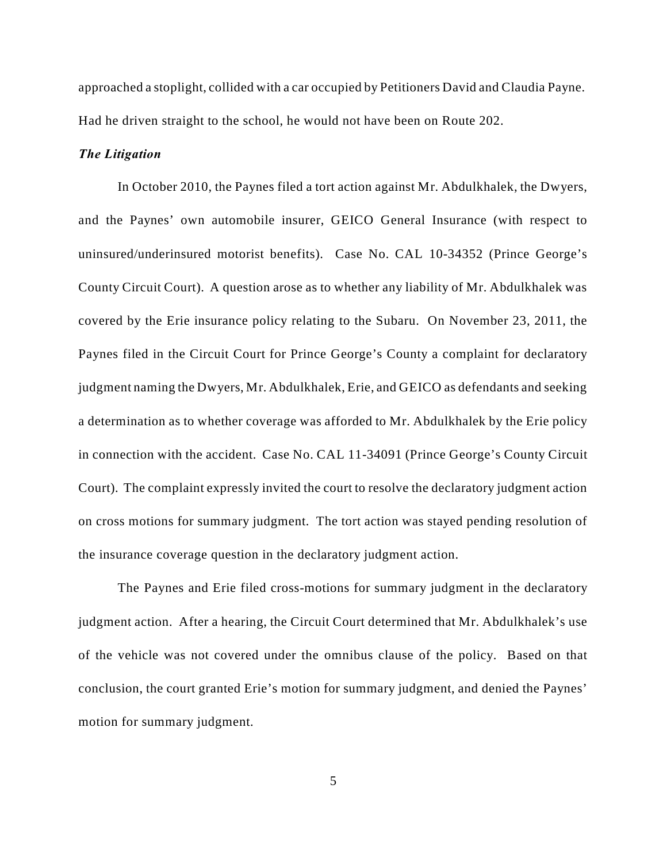approached a stoplight, collided with a car occupied by Petitioners David and Claudia Payne. Had he driven straight to the school, he would not have been on Route 202.

#### *The Litigation*

In October 2010, the Paynes filed a tort action against Mr. Abdulkhalek, the Dwyers, and the Paynes' own automobile insurer, GEICO General Insurance (with respect to uninsured/underinsured motorist benefits). Case No. CAL 10-34352 (Prince George's County Circuit Court). A question arose as to whether any liability of Mr. Abdulkhalek was covered by the Erie insurance policy relating to the Subaru. On November 23, 2011, the Paynes filed in the Circuit Court for Prince George's County a complaint for declaratory judgment naming the Dwyers, Mr. Abdulkhalek, Erie, and GEICO as defendants and seeking a determination as to whether coverage was afforded to Mr. Abdulkhalek by the Erie policy in connection with the accident. Case No. CAL 11-34091 (Prince George's County Circuit Court). The complaint expressly invited the court to resolve the declaratory judgment action on cross motions for summary judgment. The tort action was stayed pending resolution of the insurance coverage question in the declaratory judgment action.

The Paynes and Erie filed cross-motions for summary judgment in the declaratory judgment action. After a hearing, the Circuit Court determined that Mr. Abdulkhalek's use of the vehicle was not covered under the omnibus clause of the policy. Based on that conclusion, the court granted Erie's motion for summary judgment, and denied the Paynes' motion for summary judgment.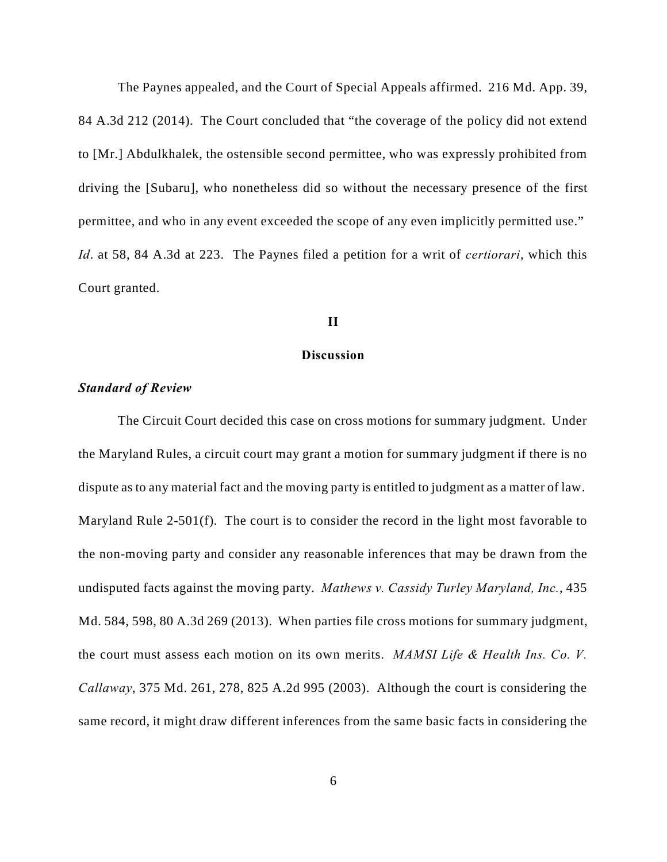The Paynes appealed, and the Court of Special Appeals affirmed. 216 Md. App. 39, 84 A.3d 212 (2014). The Court concluded that "the coverage of the policy did not extend to [Mr.] Abdulkhalek, the ostensible second permittee, who was expressly prohibited from driving the [Subaru], who nonetheless did so without the necessary presence of the first permittee, and who in any event exceeded the scope of any even implicitly permitted use." *Id*. at 58, 84 A.3d at 223. The Paynes filed a petition for a writ of *certiorari*, which this Court granted.

#### **II**

## **Discussion**

#### *Standard of Review*

The Circuit Court decided this case on cross motions for summary judgment. Under the Maryland Rules, a circuit court may grant a motion for summary judgment if there is no dispute as to any material fact and the moving party is entitled to judgment as a matter of law. Maryland Rule 2-501(f). The court is to consider the record in the light most favorable to the non-moving party and consider any reasonable inferences that may be drawn from the undisputed facts against the moving party. *Mathews v. Cassidy Turley Maryland, Inc.*, 435 Md. 584, 598, 80 A.3d 269 (2013). When parties file cross motions for summary judgment, the court must assess each motion on its own merits. *MAMSI Life & Health Ins. Co. V. Callaway*, 375 Md. 261, 278, 825 A.2d 995 (2003). Although the court is considering the same record, it might draw different inferences from the same basic facts in considering the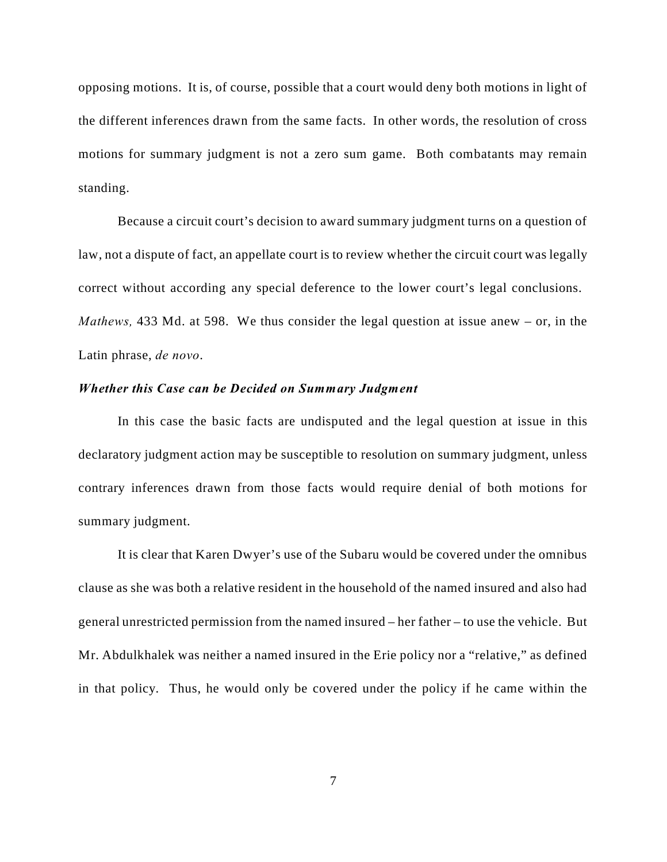opposing motions. It is, of course, possible that a court would deny both motions in light of the different inferences drawn from the same facts. In other words, the resolution of cross motions for summary judgment is not a zero sum game. Both combatants may remain standing.

Because a circuit court's decision to award summary judgment turns on a question of law, not a dispute of fact, an appellate court is to review whether the circuit court was legally correct without according any special deference to the lower court's legal conclusions. *Mathews,* 433 Md. at 598. We thus consider the legal question at issue anew – or, in the Latin phrase, *de novo*.

### *Whether this Case can be Decided on Summary Judgment*

In this case the basic facts are undisputed and the legal question at issue in this declaratory judgment action may be susceptible to resolution on summary judgment, unless contrary inferences drawn from those facts would require denial of both motions for summary judgment.

It is clear that Karen Dwyer's use of the Subaru would be covered under the omnibus clause as she was both a relative resident in the household of the named insured and also had general unrestricted permission from the named insured – her father – to use the vehicle. But Mr. Abdulkhalek was neither a named insured in the Erie policy nor a "relative," as defined in that policy. Thus, he would only be covered under the policy if he came within the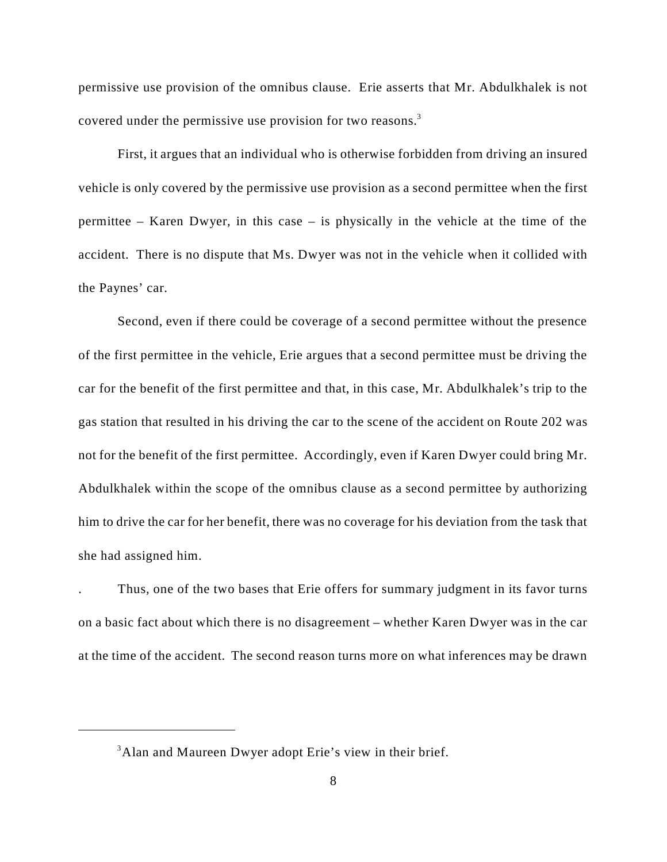permissive use provision of the omnibus clause. Erie asserts that Mr. Abdulkhalek is not covered under the permissive use provision for two reasons.<sup>3</sup>

First, it argues that an individual who is otherwise forbidden from driving an insured vehicle is only covered by the permissive use provision as a second permittee when the first permittee – Karen Dwyer, in this case – is physically in the vehicle at the time of the accident. There is no dispute that Ms. Dwyer was not in the vehicle when it collided with the Paynes' car.

Second, even if there could be coverage of a second permittee without the presence of the first permittee in the vehicle, Erie argues that a second permittee must be driving the car for the benefit of the first permittee and that, in this case, Mr. Abdulkhalek's trip to the gas station that resulted in his driving the car to the scene of the accident on Route 202 was not for the benefit of the first permittee. Accordingly, even if Karen Dwyer could bring Mr. Abdulkhalek within the scope of the omnibus clause as a second permittee by authorizing him to drive the car for her benefit, there was no coverage for his deviation from the task that she had assigned him.

. Thus, one of the two bases that Erie offers for summary judgment in its favor turns on a basic fact about which there is no disagreement – whether Karen Dwyer was in the car at the time of the accident. The second reason turns more on what inferences may be drawn

<sup>&</sup>lt;sup>3</sup>Alan and Maureen Dwyer adopt Erie's view in their brief.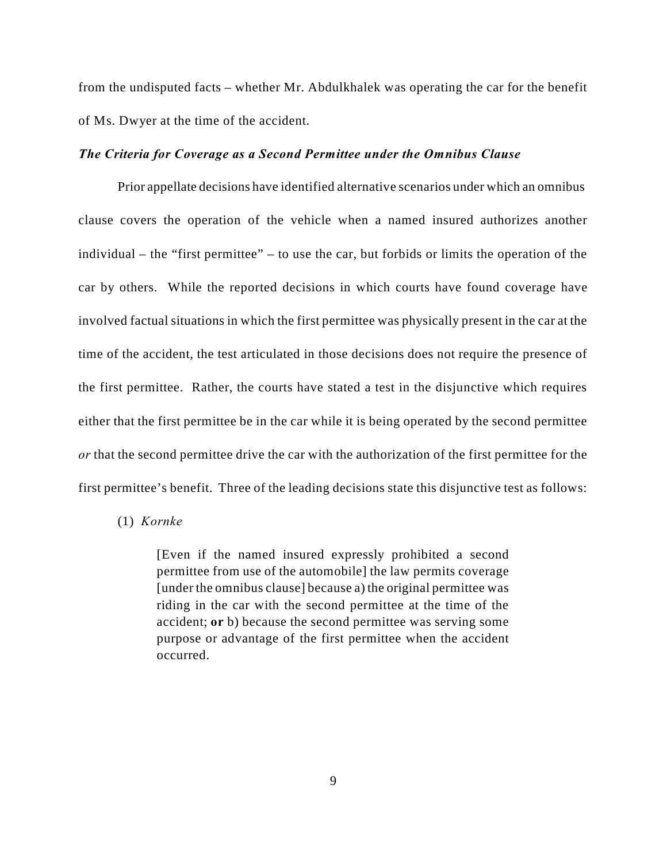from the undisputed facts – whether Mr. Abdulkhalek was operating the car for the benefit of Ms. Dwyer at the time of the accident.

#### *The Criteria for Coverage as a Second Permittee under the Omnibus Clause*

Prior appellate decisions have identified alternative scenarios under which an omnibus clause covers the operation of the vehicle when a named insured authorizes another individual – the "first permittee" – to use the car, but forbids or limits the operation of the car by others. While the reported decisions in which courts have found coverage have involved factual situations in which the first permittee was physically present in the car at the time of the accident, the test articulated in those decisions does not require the presence of the first permittee. Rather, the courts have stated a test in the disjunctive which requires either that the first permittee be in the car while it is being operated by the second permittee *or* that the second permittee drive the car with the authorization of the first permittee for the first permittee's benefit. Three of the leading decisions state this disjunctive test as follows:

### (1) *Kornke*

[Even if the named insured expressly prohibited a second permittee from use of the automobile] the law permits coverage [under the omnibus clause] because a) the original permittee was riding in the car with the second permittee at the time of the accident; **or** b) because the second permittee was serving some purpose or advantage of the first permittee when the accident occurred.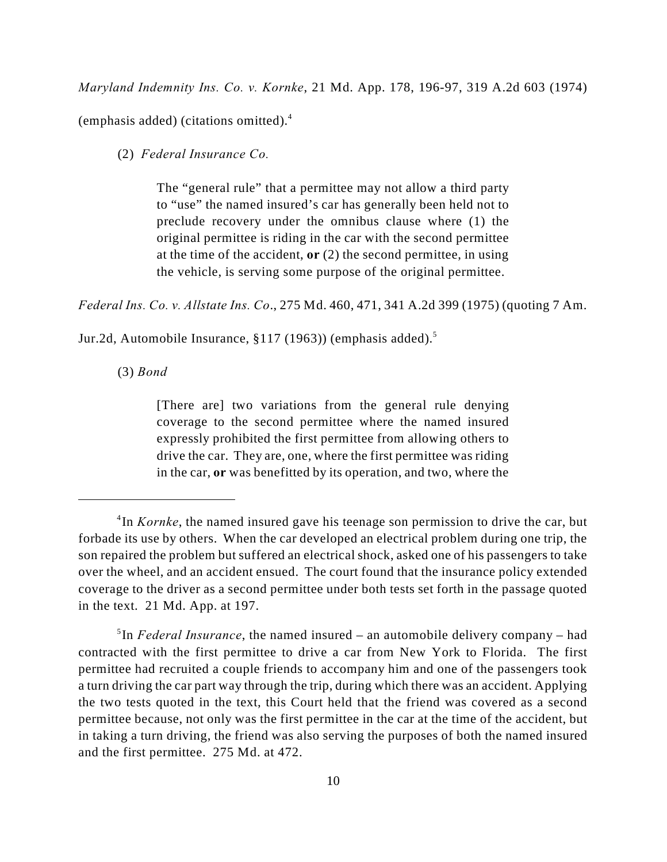*Maryland Indemnity Ins. Co. v. Kornke*, 21 Md. App. 178, 196-97, 319 A.2d 603 (1974)

(emphasis added) (citations omitted).<sup>4</sup>

(2) *Federal Insurance Co.*

The "general rule" that a permittee may not allow a third party to "use" the named insured's car has generally been held not to preclude recovery under the omnibus clause where (1) the original permittee is riding in the car with the second permittee at the time of the accident, **or** (2) the second permittee, in using the vehicle, is serving some purpose of the original permittee.

*Federal Ins. Co. v. Allstate Ins. Co*., 275 Md. 460, 471, 341 A.2d 399 (1975) (quoting 7 Am.

Jur.2d, Automobile Insurance, §117 (1963)) (emphasis added).<sup>5</sup>

(3) *Bond*

[There are] two variations from the general rule denying coverage to the second permittee where the named insured expressly prohibited the first permittee from allowing others to drive the car. They are, one, where the first permittee was riding in the car, **or** was benefitted by its operation, and two, where the

<sup>&</sup>lt;sup>4</sup>In *Kornke*, the named insured gave his teenage son permission to drive the car, but forbade its use by others. When the car developed an electrical problem during one trip, the son repaired the problem but suffered an electrical shock, asked one of his passengers to take over the wheel, and an accident ensued. The court found that the insurance policy extended coverage to the driver as a second permittee under both tests set forth in the passage quoted in the text. 21 Md. App. at 197.

<sup>&</sup>lt;sup>5</sup>In *Federal Insurance*, the named insured – an automobile delivery company – had contracted with the first permittee to drive a car from New York to Florida. The first permittee had recruited a couple friends to accompany him and one of the passengers took a turn driving the car part way through the trip, during which there was an accident. Applying the two tests quoted in the text, this Court held that the friend was covered as a second permittee because, not only was the first permittee in the car at the time of the accident, but in taking a turn driving, the friend was also serving the purposes of both the named insured and the first permittee. 275 Md. at 472.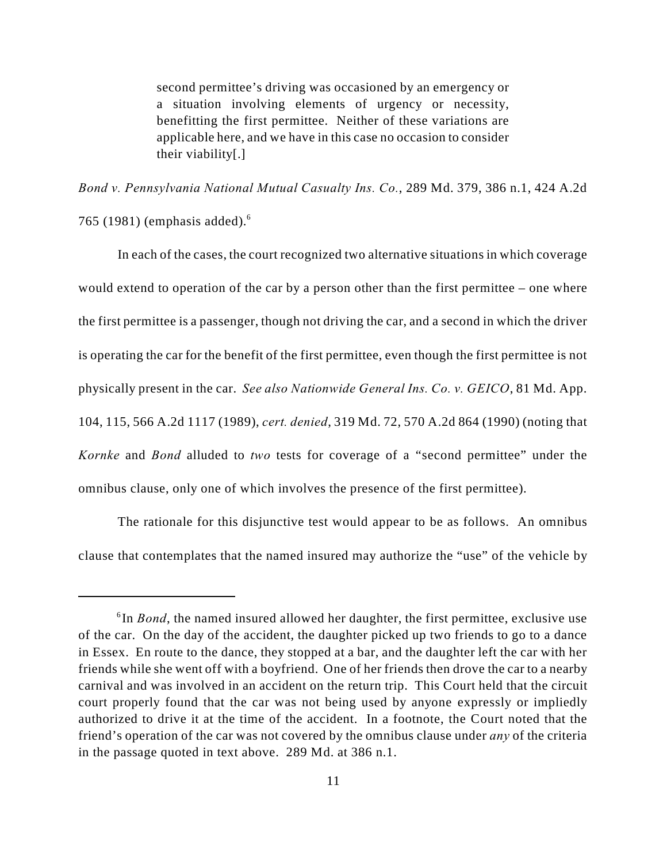second permittee's driving was occasioned by an emergency or a situation involving elements of urgency or necessity, benefitting the first permittee. Neither of these variations are applicable here, and we have in this case no occasion to consider their viability[.]

*Bond v. Pennsylvania National Mutual Casualty Ins. Co.*, 289 Md. 379, 386 n.1, 424 A.2d

765 (1981) (emphasis added). <sup>6</sup>

In each of the cases, the court recognized two alternative situations in which coverage would extend to operation of the car by a person other than the first permittee – one where the first permittee is a passenger, though not driving the car, and a second in which the driver is operating the car for the benefit of the first permittee, even though the first permittee is not physically present in the car. *See also Nationwide General Ins. Co. v. GEICO*, 81 Md. App. 104, 115, 566 A.2d 1117 (1989), *cert. denied*, 319 Md. 72, 570 A.2d 864 (1990) (noting that *Kornke* and *Bond* alluded to *two* tests for coverage of a "second permittee" under the omnibus clause, only one of which involves the presence of the first permittee).

The rationale for this disjunctive test would appear to be as follows. An omnibus clause that contemplates that the named insured may authorize the "use" of the vehicle by

 $\delta$ In *Bond*, the named insured allowed her daughter, the first permittee, exclusive use of the car. On the day of the accident, the daughter picked up two friends to go to a dance in Essex. En route to the dance, they stopped at a bar, and the daughter left the car with her friends while she went off with a boyfriend. One of her friends then drove the car to a nearby carnival and was involved in an accident on the return trip. This Court held that the circuit court properly found that the car was not being used by anyone expressly or impliedly authorized to drive it at the time of the accident. In a footnote, the Court noted that the friend's operation of the car was not covered by the omnibus clause under *any* of the criteria in the passage quoted in text above. 289 Md. at 386 n.1.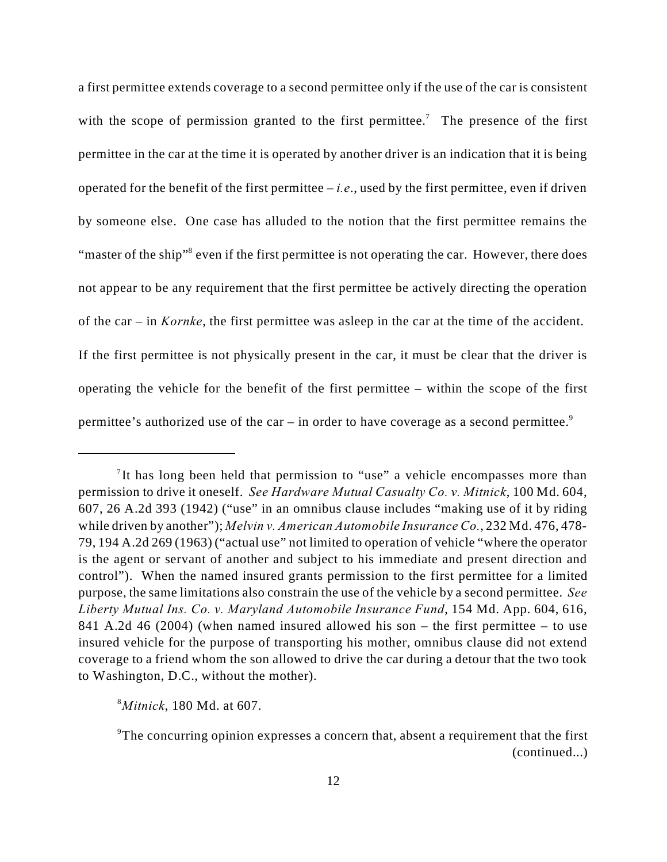a first permittee extends coverage to a second permittee only if the use of the car is consistent with the scope of permission granted to the first permittee.<sup>7</sup> The presence of the first permittee in the car at the time it is operated by another driver is an indication that it is being operated for the benefit of the first permittee – *i.e*., used by the first permittee, even if driven by someone else. One case has alluded to the notion that the first permittee remains the "master of the ship"<sup>8</sup> even if the first permittee is not operating the car. However, there does not appear to be any requirement that the first permittee be actively directing the operation of the car – in *Kornke*, the first permittee was asleep in the car at the time of the accident. If the first permittee is not physically present in the car, it must be clear that the driver is operating the vehicle for the benefit of the first permittee – within the scope of the first permittee's authorized use of the car – in order to have coverage as a second permittee.<sup>9</sup>

*Mitnick*, 180 Md. at 607. <sup>8</sup>

<sup>&</sup>lt;sup>7</sup>It has long been held that permission to "use" a vehicle encompasses more than permission to drive it oneself. *See Hardware Mutual Casualty Co. v. Mitnick*, 100 Md. 604, 607, 26 A.2d 393 (1942) ("use" in an omnibus clause includes "making use of it by riding while driven by another"); *Melvin v. American Automobile Insurance Co.*, 232 Md. 476, 478- 79, 194 A.2d 269 (1963) ("actual use" not limited to operation of vehicle "where the operator is the agent or servant of another and subject to his immediate and present direction and control"). When the named insured grants permission to the first permittee for a limited purpose, the same limitations also constrain the use of the vehicle by a second permittee. *See Liberty Mutual Ins. Co. v. Maryland Automobile Insurance Fund*, 154 Md. App. 604, 616, 841 A.2d 46 (2004) (when named insured allowed his son – the first permittee – to use insured vehicle for the purpose of transporting his mother, omnibus clause did not extend coverage to a friend whom the son allowed to drive the car during a detour that the two took to Washington, D.C., without the mother).

<sup>&</sup>lt;sup>9</sup>The concurring opinion expresses a concern that, absent a requirement that the first (continued...)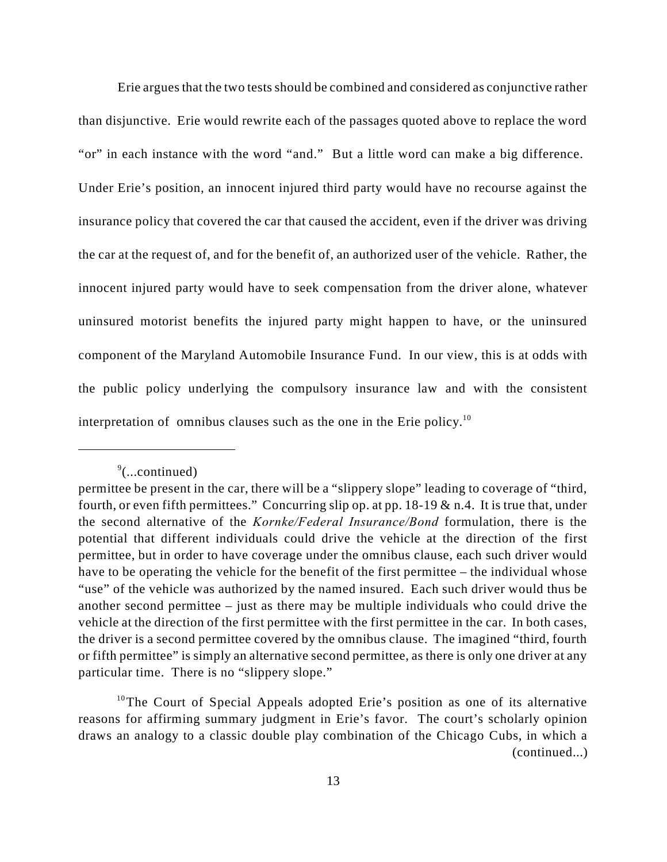Erie argues that the two tests should be combined and considered as conjunctive rather than disjunctive. Erie would rewrite each of the passages quoted above to replace the word "or" in each instance with the word "and." But a little word can make a big difference. Under Erie's position, an innocent injured third party would have no recourse against the insurance policy that covered the car that caused the accident, even if the driver was driving the car at the request of, and for the benefit of, an authorized user of the vehicle. Rather, the innocent injured party would have to seek compensation from the driver alone, whatever uninsured motorist benefits the injured party might happen to have, or the uninsured component of the Maryland Automobile Insurance Fund. In our view, this is at odds with the public policy underlying the compulsory insurance law and with the consistent interpretation of omnibus clauses such as the one in the Erie policy.<sup>10</sup>

 $\degree$ (...continued)

permittee be present in the car, there will be a "slippery slope" leading to coverage of "third, fourth, or even fifth permittees." Concurring slip op. at pp.  $18-19 \& n.4$ . It is true that, under the second alternative of the *Kornke/Federal Insurance/Bond* formulation, there is the potential that different individuals could drive the vehicle at the direction of the first permittee, but in order to have coverage under the omnibus clause, each such driver would have to be operating the vehicle for the benefit of the first permittee – the individual whose "use" of the vehicle was authorized by the named insured. Each such driver would thus be another second permittee – just as there may be multiple individuals who could drive the vehicle at the direction of the first permittee with the first permittee in the car. In both cases, the driver is a second permittee covered by the omnibus clause. The imagined "third, fourth or fifth permittee" is simply an alternative second permittee, as there is only one driver at any particular time. There is no "slippery slope."

<sup>&</sup>lt;sup>10</sup>The Court of Special Appeals adopted Erie's position as one of its alternative reasons for affirming summary judgment in Erie's favor. The court's scholarly opinion draws an analogy to a classic double play combination of the Chicago Cubs, in which a (continued...)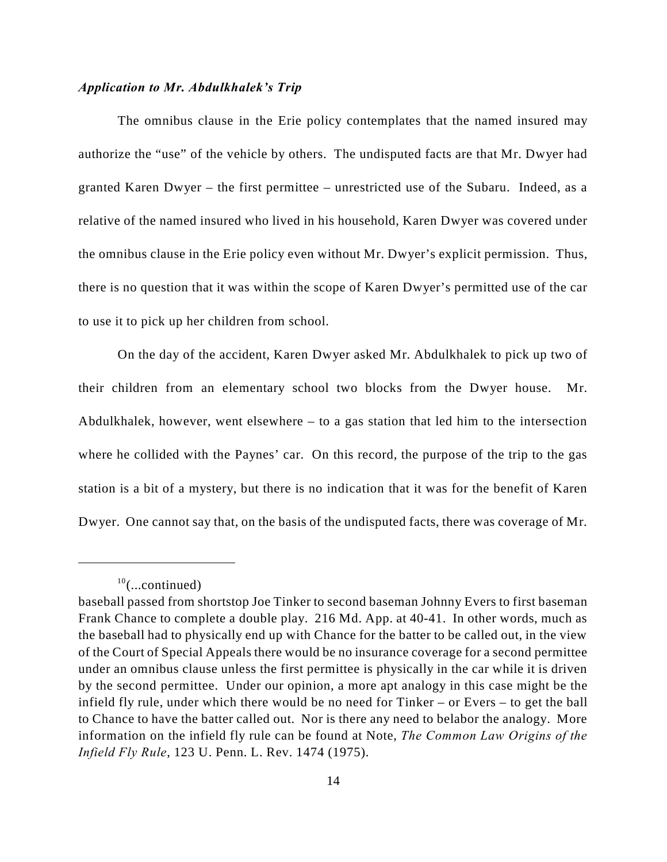#### *Application to Mr. Abdulkhalek's Trip*

The omnibus clause in the Erie policy contemplates that the named insured may authorize the "use" of the vehicle by others. The undisputed facts are that Mr. Dwyer had granted Karen Dwyer – the first permittee – unrestricted use of the Subaru. Indeed, as a relative of the named insured who lived in his household, Karen Dwyer was covered under the omnibus clause in the Erie policy even without Mr. Dwyer's explicit permission. Thus, there is no question that it was within the scope of Karen Dwyer's permitted use of the car to use it to pick up her children from school.

On the day of the accident, Karen Dwyer asked Mr. Abdulkhalek to pick up two of their children from an elementary school two blocks from the Dwyer house. Mr. Abdulkhalek, however, went elsewhere – to a gas station that led him to the intersection where he collided with the Paynes' car. On this record, the purpose of the trip to the gas station is a bit of a mystery, but there is no indication that it was for the benefit of Karen Dwyer. One cannot say that, on the basis of the undisputed facts, there was coverage of Mr.

 $^{10}$ (...continued)

baseball passed from shortstop Joe Tinker to second baseman Johnny Evers to first baseman Frank Chance to complete a double play. 216 Md. App. at 40-41. In other words, much as the baseball had to physically end up with Chance for the batter to be called out, in the view of the Court of Special Appeals there would be no insurance coverage for a second permittee under an omnibus clause unless the first permittee is physically in the car while it is driven by the second permittee. Under our opinion, a more apt analogy in this case might be the infield fly rule, under which there would be no need for Tinker – or Evers – to get the ball to Chance to have the batter called out. Nor is there any need to belabor the analogy. More information on the infield fly rule can be found at Note, *The Common Law Origins of the Infield Fly Rule*, 123 U. Penn. L. Rev. 1474 (1975).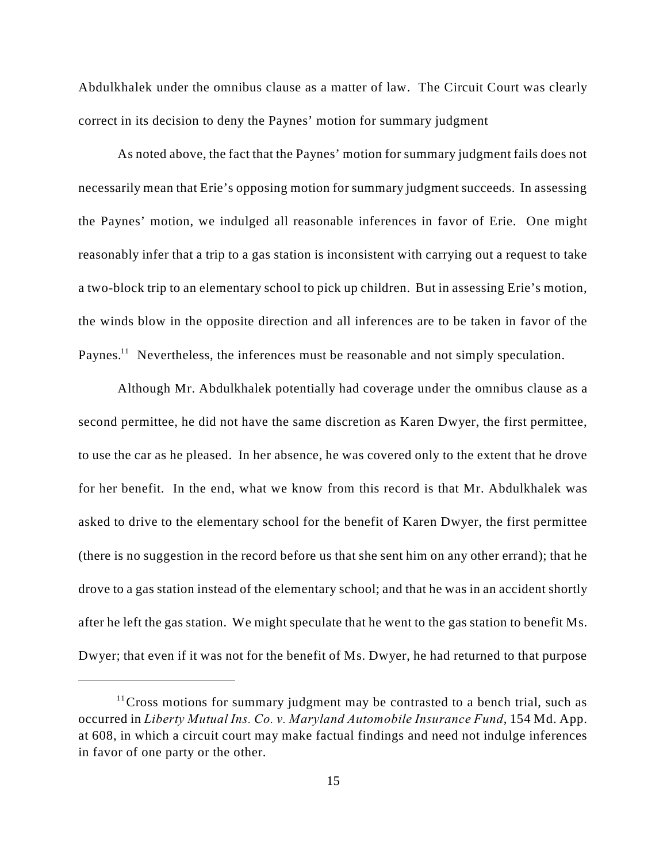Abdulkhalek under the omnibus clause as a matter of law. The Circuit Court was clearly correct in its decision to deny the Paynes' motion for summary judgment

As noted above, the fact that the Paynes' motion for summary judgment fails does not necessarily mean that Erie's opposing motion for summary judgment succeeds. In assessing the Paynes' motion, we indulged all reasonable inferences in favor of Erie. One might reasonably infer that a trip to a gas station is inconsistent with carrying out a request to take a two-block trip to an elementary school to pick up children. But in assessing Erie's motion, the winds blow in the opposite direction and all inferences are to be taken in favor of the Paynes.<sup> $11$ </sup> Nevertheless, the inferences must be reasonable and not simply speculation.

Although Mr. Abdulkhalek potentially had coverage under the omnibus clause as a second permittee, he did not have the same discretion as Karen Dwyer, the first permittee, to use the car as he pleased. In her absence, he was covered only to the extent that he drove for her benefit. In the end, what we know from this record is that Mr. Abdulkhalek was asked to drive to the elementary school for the benefit of Karen Dwyer, the first permittee (there is no suggestion in the record before us that she sent him on any other errand); that he drove to a gas station instead of the elementary school; and that he was in an accident shortly after he left the gas station. We might speculate that he went to the gas station to benefit Ms. Dwyer; that even if it was not for the benefit of Ms. Dwyer, he had returned to that purpose

<sup>&</sup>lt;sup>11</sup> Cross motions for summary judgment may be contrasted to a bench trial, such as occurred in *Liberty Mutual Ins. Co. v. Maryland Automobile Insurance Fund*, 154 Md. App. at 608, in which a circuit court may make factual findings and need not indulge inferences in favor of one party or the other.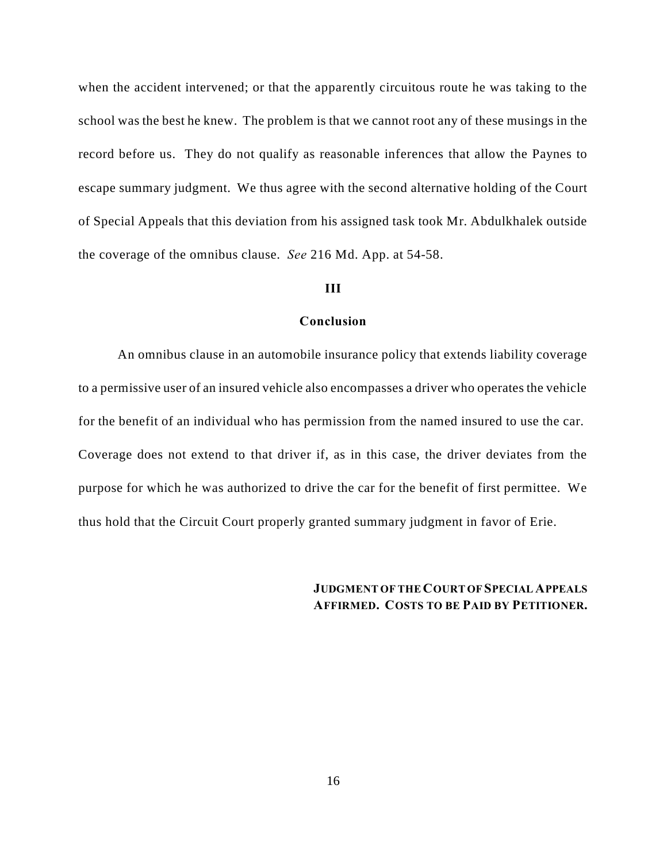when the accident intervened; or that the apparently circuitous route he was taking to the school was the best he knew. The problem is that we cannot root any of these musings in the record before us. They do not qualify as reasonable inferences that allow the Paynes to escape summary judgment. We thus agree with the second alternative holding of the Court of Special Appeals that this deviation from his assigned task took Mr. Abdulkhalek outside the coverage of the omnibus clause. *See* 216 Md. App. at 54-58.

### **III**

#### **Conclusion**

An omnibus clause in an automobile insurance policy that extends liability coverage to a permissive user of an insured vehicle also encompasses a driver who operates the vehicle for the benefit of an individual who has permission from the named insured to use the car. Coverage does not extend to that driver if, as in this case, the driver deviates from the purpose for which he was authorized to drive the car for the benefit of first permittee. We thus hold that the Circuit Court properly granted summary judgment in favor of Erie.

# **JUDGMENT OF THE COURT OF SPECIAL APPEALS AFFIRMED. COSTS TO BE PAID BY PETITIONER.**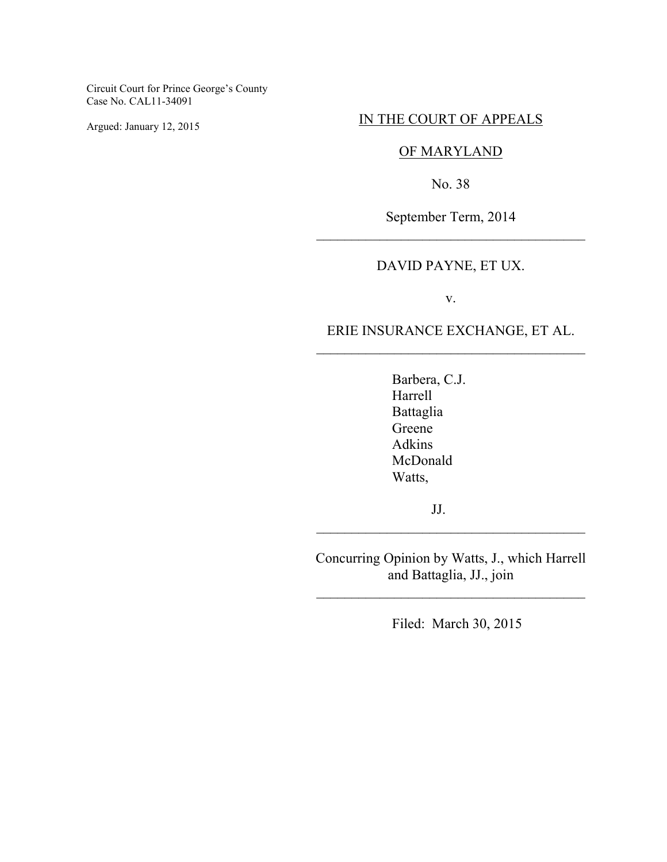Circuit Court for Prince George's County Case No. CAL11-34091

Argued: January 12, 2015

## IN THE COURT OF APPEALS

# OF MARYLAND

No. 38

September Term, 2014 \_\_\_\_\_\_\_\_\_\_\_\_\_\_\_\_\_\_\_\_\_\_\_\_\_\_\_\_\_\_\_\_\_\_\_\_\_\_

# DAVID PAYNE, ET UX.

v.

# ERIE INSURANCE EXCHANGE, ET AL. \_\_\_\_\_\_\_\_\_\_\_\_\_\_\_\_\_\_\_\_\_\_\_\_\_\_\_\_\_\_\_\_\_\_\_\_\_\_

Barbera, C.J. Harrell Battaglia Greene Adkins McDonald Watts,

JJ.

Concurring Opinion by Watts, J., which Harrell and Battaglia, JJ., join

\_\_\_\_\_\_\_\_\_\_\_\_\_\_\_\_\_\_\_\_\_\_\_\_\_\_\_\_\_\_\_\_\_\_\_\_\_\_

\_\_\_\_\_\_\_\_\_\_\_\_\_\_\_\_\_\_\_\_\_\_\_\_\_\_\_\_\_\_\_\_\_\_\_\_\_\_

Filed: March 30, 2015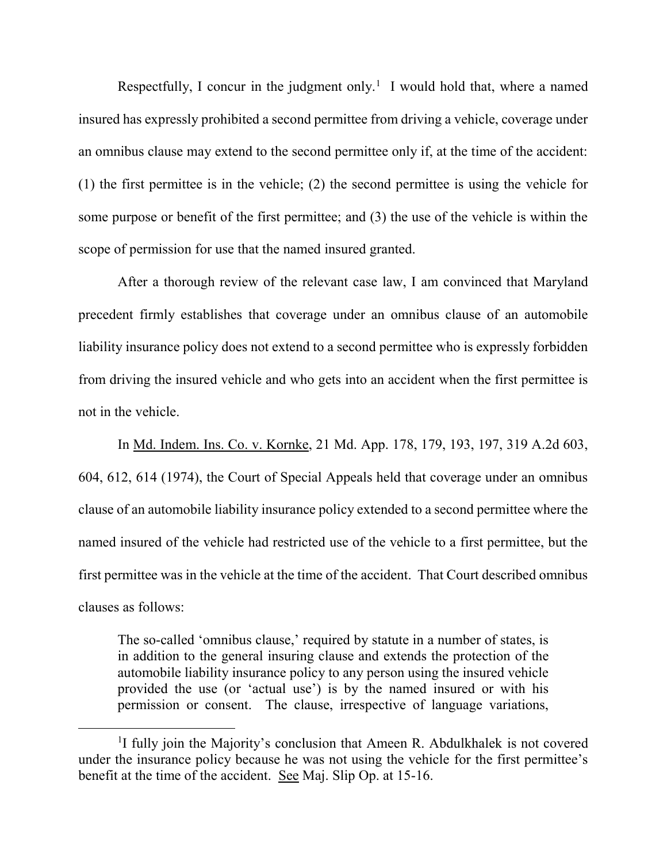Respectfully, I concur in the judgment only.<sup>1</sup> I would hold that, where a named insured has expressly prohibited a second permittee from driving a vehicle, coverage under an omnibus clause may extend to the second permittee only if, at the time of the accident: (1) the first permittee is in the vehicle; (2) the second permittee is using the vehicle for some purpose or benefit of the first permittee; and (3) the use of the vehicle is within the scope of permission for use that the named insured granted.

After a thorough review of the relevant case law, I am convinced that Maryland precedent firmly establishes that coverage under an omnibus clause of an automobile liability insurance policy does not extend to a second permittee who is expressly forbidden from driving the insured vehicle and who gets into an accident when the first permittee is not in the vehicle.

In Md. Indem. Ins. Co. v. Kornke, 21 Md. App. 178, 179, 193, 197, 319 A.2d 603, 604, 612, 614 (1974), the Court of Special Appeals held that coverage under an omnibus clause of an automobile liability insurance policy extended to a second permittee where the named insured of the vehicle had restricted use of the vehicle to a first permittee, but the first permittee was in the vehicle at the time of the accident. That Court described omnibus clauses as follows:

The so-called 'omnibus clause,' required by statute in a number of states, is in addition to the general insuring clause and extends the protection of the automobile liability insurance policy to any person using the insured vehicle provided the use (or 'actual use') is by the named insured or with his permission or consent. The clause, irrespective of language variations,

 $\overline{a}$ 

<sup>&</sup>lt;sup>1</sup>I fully join the Majority's conclusion that Ameen R. Abdulkhalek is not covered under the insurance policy because he was not using the vehicle for the first permittee's benefit at the time of the accident. See Maj. Slip Op. at 15-16.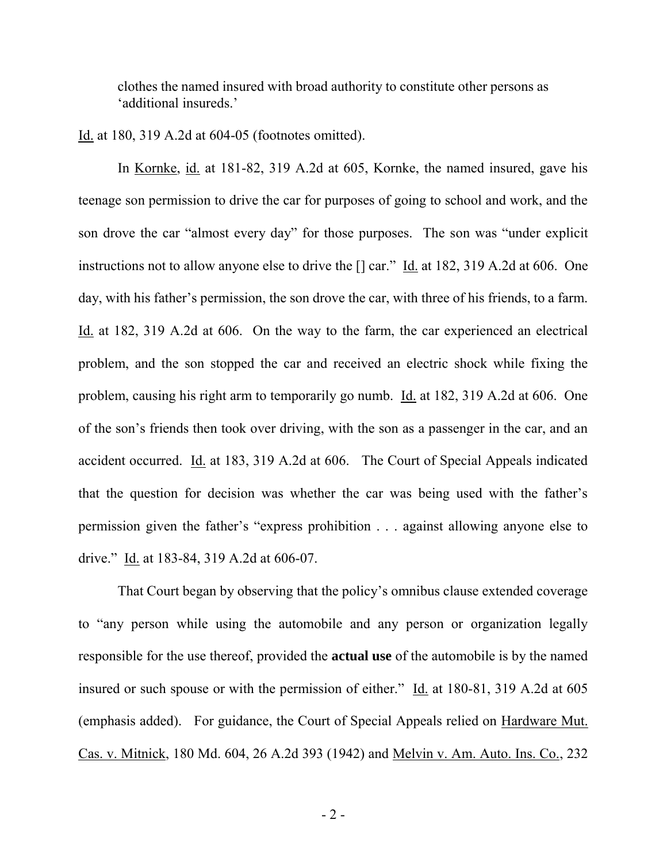clothes the named insured with broad authority to constitute other persons as 'additional insureds.'

Id. at 180, 319 A.2d at 604-05 (footnotes omitted).

In Kornke, id. at 181-82, 319 A.2d at 605, Kornke, the named insured, gave his teenage son permission to drive the car for purposes of going to school and work, and the son drove the car "almost every day" for those purposes. The son was "under explicit instructions not to allow anyone else to drive the [] car." Id. at 182, 319 A.2d at 606. One day, with his father's permission, the son drove the car, with three of his friends, to a farm. Id. at 182, 319 A.2d at 606. On the way to the farm, the car experienced an electrical problem, and the son stopped the car and received an electric shock while fixing the problem, causing his right arm to temporarily go numb. Id. at 182, 319 A.2d at 606. One of the son's friends then took over driving, with the son as a passenger in the car, and an accident occurred. Id. at 183, 319 A.2d at 606. The Court of Special Appeals indicated that the question for decision was whether the car was being used with the father's permission given the father's "express prohibition . . . against allowing anyone else to drive." Id. at 183-84, 319 A.2d at 606-07.

 That Court began by observing that the policy's omnibus clause extended coverage to "any person while using the automobile and any person or organization legally responsible for the use thereof, provided the **actual use** of the automobile is by the named insured or such spouse or with the permission of either." Id. at 180-81, 319 A.2d at 605 (emphasis added). For guidance, the Court of Special Appeals relied on Hardware Mut. Cas. v. Mitnick, 180 Md. 604, 26 A.2d 393 (1942) and Melvin v. Am. Auto. Ins. Co., 232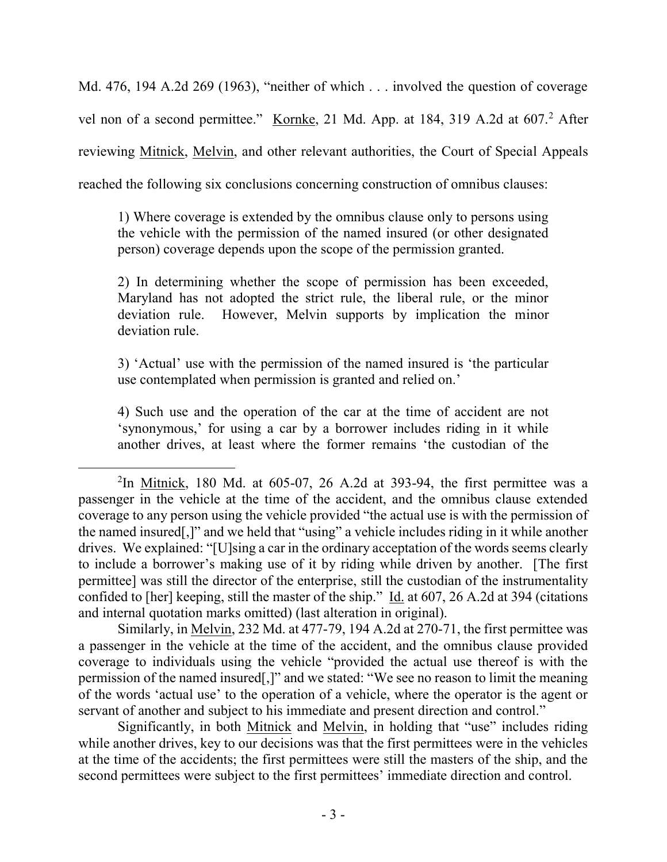Md. 476, 194 A.2d 269 (1963), "neither of which . . . involved the question of coverage vel non of a second permittee." Kornke, 21 Md. App. at 184, 319 A.2d at 607.<sup>2</sup> After reviewing Mitnick, Melvin, and other relevant authorities, the Court of Special Appeals reached the following six conclusions concerning construction of omnibus clauses:

1) Where coverage is extended by the omnibus clause only to persons using the vehicle with the permission of the named insured (or other designated person) coverage depends upon the scope of the permission granted.

2) In determining whether the scope of permission has been exceeded, Maryland has not adopted the strict rule, the liberal rule, or the minor deviation rule. However, Melvin supports by implication the minor deviation rule.

3) 'Actual' use with the permission of the named insured is 'the particular use contemplated when permission is granted and relied on.'

4) Such use and the operation of the car at the time of accident are not 'synonymous,' for using a car by a borrower includes riding in it while another drives, at least where the former remains 'the custodian of the

 $\overline{a}$ 

Similarly, in Melvin, 232 Md. at 477-79, 194 A.2d at 270-71, the first permittee was a passenger in the vehicle at the time of the accident, and the omnibus clause provided coverage to individuals using the vehicle "provided the actual use thereof is with the permission of the named insured[,]" and we stated: "We see no reason to limit the meaning of the words 'actual use' to the operation of a vehicle, where the operator is the agent or servant of another and subject to his immediate and present direction and control."

Significantly, in both Mitnick and Melvin, in holding that "use" includes riding while another drives, key to our decisions was that the first permittees were in the vehicles at the time of the accidents; the first permittees were still the masters of the ship, and the second permittees were subject to the first permittees' immediate direction and control.

<sup>&</sup>lt;sup>2</sup>In <u>Mitnick</u>, 180 Md. at 605-07, 26 A.2d at 393-94, the first permittee was a passenger in the vehicle at the time of the accident, and the omnibus clause extended coverage to any person using the vehicle provided "the actual use is with the permission of the named insured[,]" and we held that "using" a vehicle includes riding in it while another drives. We explained: "[U]sing a car in the ordinary acceptation of the words seems clearly to include a borrower's making use of it by riding while driven by another. [The first permittee] was still the director of the enterprise, still the custodian of the instrumentality confided to [her] keeping, still the master of the ship." Id. at 607, 26 A.2d at 394 (citations and internal quotation marks omitted) (last alteration in original).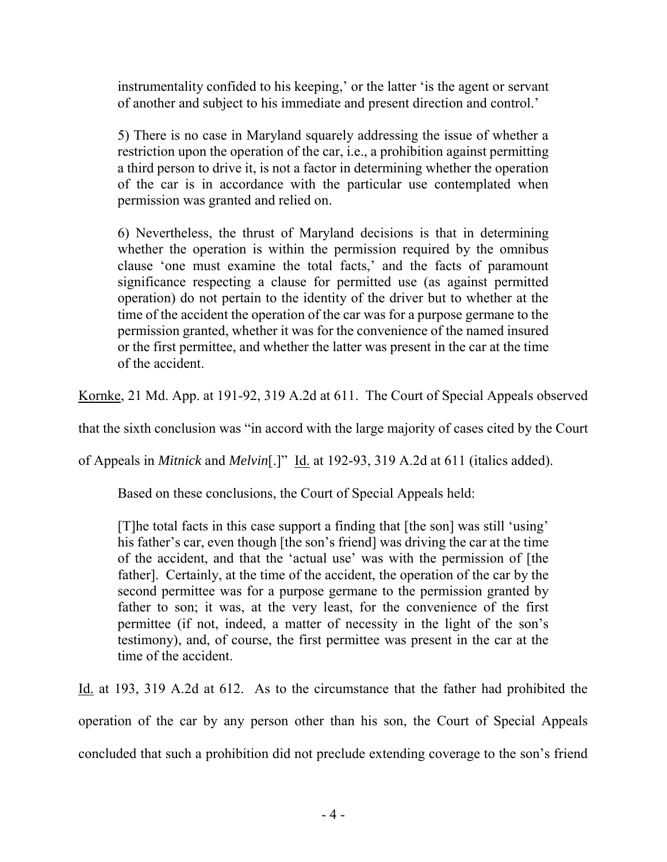instrumentality confided to his keeping,' or the latter 'is the agent or servant of another and subject to his immediate and present direction and control.'

5) There is no case in Maryland squarely addressing the issue of whether a restriction upon the operation of the car, i.e., a prohibition against permitting a third person to drive it, is not a factor in determining whether the operation of the car is in accordance with the particular use contemplated when permission was granted and relied on.

6) Nevertheless, the thrust of Maryland decisions is that in determining whether the operation is within the permission required by the omnibus clause 'one must examine the total facts,' and the facts of paramount significance respecting a clause for permitted use (as against permitted operation) do not pertain to the identity of the driver but to whether at the time of the accident the operation of the car was for a purpose germane to the permission granted, whether it was for the convenience of the named insured or the first permittee, and whether the latter was present in the car at the time of the accident.

Kornke, 21 Md. App. at 191-92, 319 A.2d at 611. The Court of Special Appeals observed

that the sixth conclusion was "in accord with the large majority of cases cited by the Court

of Appeals in *Mitnick* and *Melvin*[.]" Id. at 192-93, 319 A.2d at 611 (italics added).

Based on these conclusions, the Court of Special Appeals held:

[T]he total facts in this case support a finding that [the son] was still 'using' his father's car, even though [the son's friend] was driving the car at the time of the accident, and that the 'actual use' was with the permission of [the father]. Certainly, at the time of the accident, the operation of the car by the second permittee was for a purpose germane to the permission granted by father to son; it was, at the very least, for the convenience of the first permittee (if not, indeed, a matter of necessity in the light of the son's testimony), and, of course, the first permittee was present in the car at the time of the accident.

Id. at 193, 319 A.2d at 612. As to the circumstance that the father had prohibited the operation of the car by any person other than his son, the Court of Special Appeals concluded that such a prohibition did not preclude extending coverage to the son's friend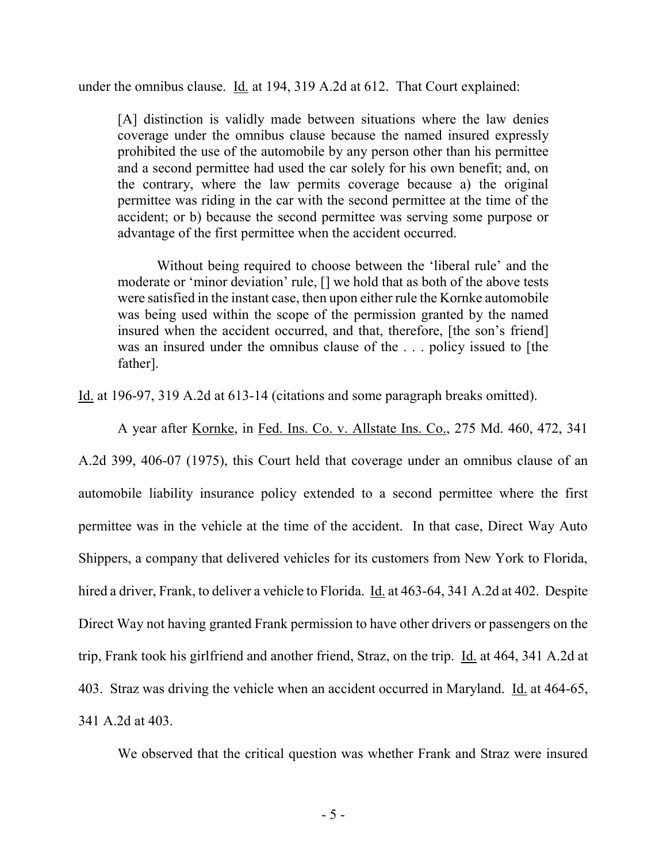under the omnibus clause. Id. at 194, 319 A.2d at 612. That Court explained:

[A] distinction is validly made between situations where the law denies coverage under the omnibus clause because the named insured expressly prohibited the use of the automobile by any person other than his permittee and a second permittee had used the car solely for his own benefit; and, on the contrary, where the law permits coverage because a) the original permittee was riding in the car with the second permittee at the time of the accident; or b) because the second permittee was serving some purpose or advantage of the first permittee when the accident occurred.

 Without being required to choose between the 'liberal rule' and the moderate or 'minor deviation' rule, [] we hold that as both of the above tests were satisfied in the instant case, then upon either rule the Kornke automobile was being used within the scope of the permission granted by the named insured when the accident occurred, and that, therefore, [the son's friend] was an insured under the omnibus clause of the . . . policy issued to [the father].

Id. at 196-97, 319 A.2d at 613-14 (citations and some paragraph breaks omitted).

 A year after Kornke, in Fed. Ins. Co. v. Allstate Ins. Co., 275 Md. 460, 472, 341 A.2d 399, 406-07 (1975), this Court held that coverage under an omnibus clause of an automobile liability insurance policy extended to a second permittee where the first permittee was in the vehicle at the time of the accident. In that case, Direct Way Auto Shippers, a company that delivered vehicles for its customers from New York to Florida, hired a driver, Frank, to deliver a vehicle to Florida. Id. at 463-64, 341 A.2d at 402. Despite Direct Way not having granted Frank permission to have other drivers or passengers on the trip, Frank took his girlfriend and another friend, Straz, on the trip. Id. at 464, 341 A.2d at 403. Straz was driving the vehicle when an accident occurred in Maryland. Id. at 464-65, 341 A.2d at 403.

We observed that the critical question was whether Frank and Straz were insured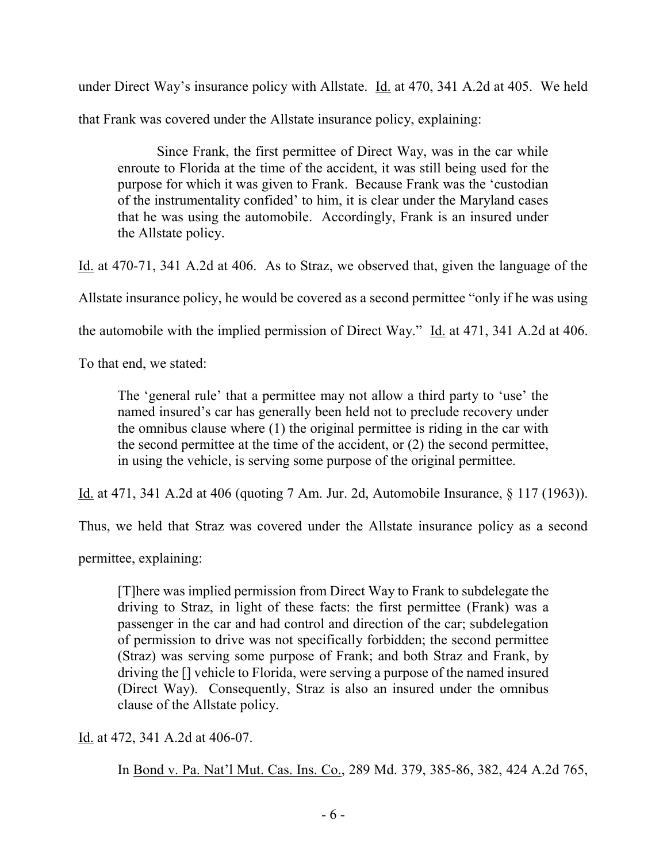under Direct Way's insurance policy with Allstate. **Id.** at 470, 341 A.2d at 405. We held that Frank was covered under the Allstate insurance policy, explaining:

 Since Frank, the first permittee of Direct Way, was in the car while enroute to Florida at the time of the accident, it was still being used for the purpose for which it was given to Frank. Because Frank was the 'custodian of the instrumentality confided' to him, it is clear under the Maryland cases that he was using the automobile. Accordingly, Frank is an insured under the Allstate policy.

Id. at 470-71, 341 A.2d at 406. As to Straz, we observed that, given the language of the

Allstate insurance policy, he would be covered as a second permittee "only if he was using

the automobile with the implied permission of Direct Way." Id. at 471, 341 A.2d at 406.

To that end, we stated:

The 'general rule' that a permittee may not allow a third party to 'use' the named insured's car has generally been held not to preclude recovery under the omnibus clause where (1) the original permittee is riding in the car with the second permittee at the time of the accident, or (2) the second permittee, in using the vehicle, is serving some purpose of the original permittee.

Id. at 471, 341 A.2d at 406 (quoting 7 Am. Jur. 2d, Automobile Insurance, § 117 (1963)).

Thus, we held that Straz was covered under the Allstate insurance policy as a second

permittee, explaining:

[T]here was implied permission from Direct Way to Frank to subdelegate the driving to Straz, in light of these facts: the first permittee (Frank) was a passenger in the car and had control and direction of the car; subdelegation of permission to drive was not specifically forbidden; the second permittee (Straz) was serving some purpose of Frank; and both Straz and Frank, by driving the [] vehicle to Florida, were serving a purpose of the named insured (Direct Way). Consequently, Straz is also an insured under the omnibus clause of the Allstate policy.

Id. at 472, 341 A.2d at 406-07.

In Bond v. Pa. Nat'l Mut. Cas. Ins. Co., 289 Md. 379, 385-86, 382, 424 A.2d 765,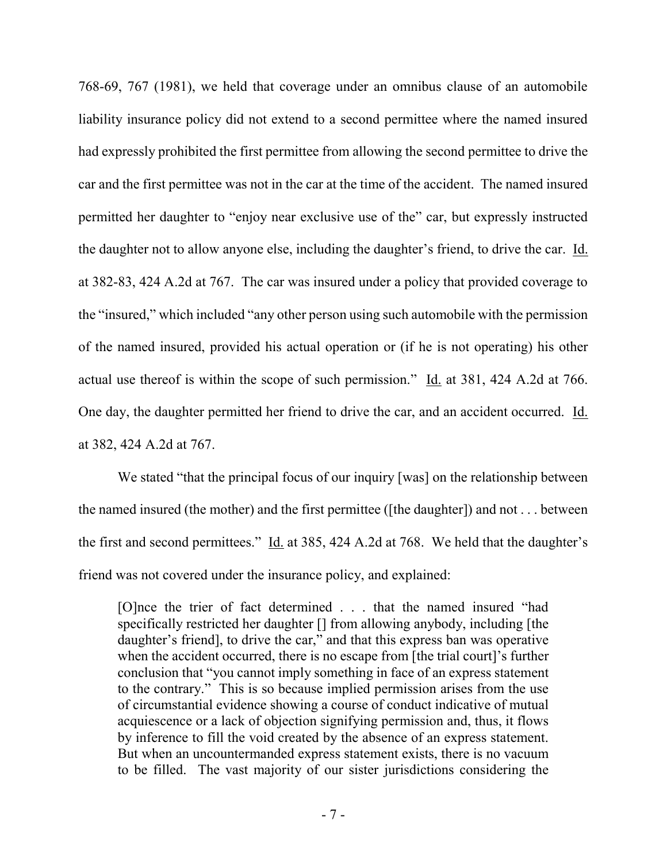768-69, 767 (1981), we held that coverage under an omnibus clause of an automobile liability insurance policy did not extend to a second permittee where the named insured had expressly prohibited the first permittee from allowing the second permittee to drive the car and the first permittee was not in the car at the time of the accident. The named insured permitted her daughter to "enjoy near exclusive use of the" car, but expressly instructed the daughter not to allow anyone else, including the daughter's friend, to drive the car. Id. at 382-83, 424 A.2d at 767. The car was insured under a policy that provided coverage to the "insured," which included "any other person using such automobile with the permission of the named insured, provided his actual operation or (if he is not operating) his other actual use thereof is within the scope of such permission." Id. at 381, 424 A.2d at 766. One day, the daughter permitted her friend to drive the car, and an accident occurred. Id. at 382, 424 A.2d at 767.

We stated "that the principal focus of our inquiry [was] on the relationship between the named insured (the mother) and the first permittee ([the daughter]) and not . . . between the first and second permittees." Id. at 385, 424 A.2d at 768. We held that the daughter's friend was not covered under the insurance policy, and explained:

[O]nce the trier of fact determined . . . that the named insured "had specifically restricted her daughter [] from allowing anybody, including [the daughter's friend], to drive the car," and that this express ban was operative when the accident occurred, there is no escape from [the trial court]'s further conclusion that "you cannot imply something in face of an express statement to the contrary." This is so because implied permission arises from the use of circumstantial evidence showing a course of conduct indicative of mutual acquiescence or a lack of objection signifying permission and, thus, it flows by inference to fill the void created by the absence of an express statement. But when an uncountermanded express statement exists, there is no vacuum to be filled. The vast majority of our sister jurisdictions considering the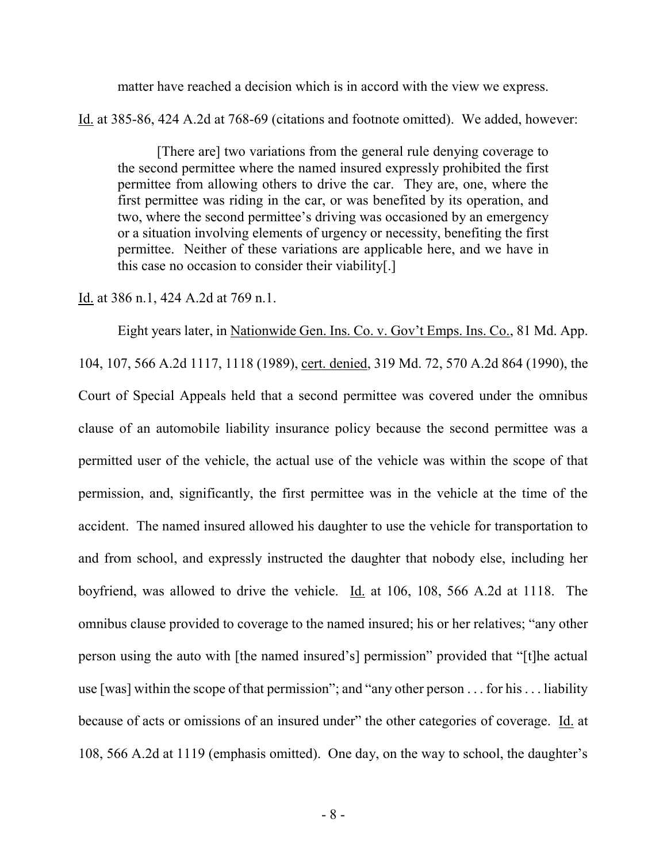matter have reached a decision which is in accord with the view we express.

Id. at 385-86, 424 A.2d at 768-69 (citations and footnote omitted). We added, however:

 [There are] two variations from the general rule denying coverage to the second permittee where the named insured expressly prohibited the first permittee from allowing others to drive the car. They are, one, where the first permittee was riding in the car, or was benefited by its operation, and two, where the second permittee's driving was occasioned by an emergency or a situation involving elements of urgency or necessity, benefiting the first permittee. Neither of these variations are applicable here, and we have in this case no occasion to consider their viability[.]

Id. at 386 n.1, 424 A.2d at 769 n.1.

 Eight years later, in Nationwide Gen. Ins. Co. v. Gov't Emps. Ins. Co., 81 Md. App. 104, 107, 566 A.2d 1117, 1118 (1989), cert. denied, 319 Md. 72, 570 A.2d 864 (1990), the Court of Special Appeals held that a second permittee was covered under the omnibus clause of an automobile liability insurance policy because the second permittee was a permitted user of the vehicle, the actual use of the vehicle was within the scope of that permission, and, significantly, the first permittee was in the vehicle at the time of the accident. The named insured allowed his daughter to use the vehicle for transportation to and from school, and expressly instructed the daughter that nobody else, including her boyfriend, was allowed to drive the vehicle. Id. at 106, 108, 566 A.2d at 1118. The omnibus clause provided to coverage to the named insured; his or her relatives; "any other person using the auto with [the named insured's] permission" provided that "[t]he actual use [was] within the scope of that permission"; and "any other person . . . for his . . . liability because of acts or omissions of an insured under" the other categories of coverage. Id. at 108, 566 A.2d at 1119 (emphasis omitted). One day, on the way to school, the daughter's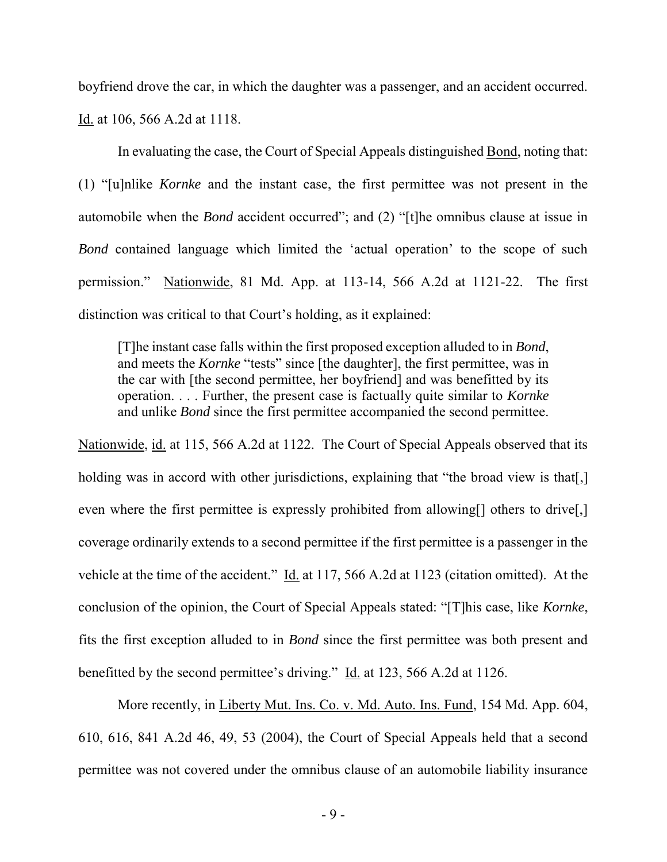boyfriend drove the car, in which the daughter was a passenger, and an accident occurred. Id. at 106, 566 A.2d at 1118.

 In evaluating the case, the Court of Special Appeals distinguished Bond, noting that: (1) "[u]nlike *Kornke* and the instant case, the first permittee was not present in the automobile when the *Bond* accident occurred"; and (2) "[t]he omnibus clause at issue in *Bond* contained language which limited the 'actual operation' to the scope of such permission." Nationwide, 81 Md. App. at 113-14, 566 A.2d at 1121-22. The first distinction was critical to that Court's holding, as it explained:

[T]he instant case falls within the first proposed exception alluded to in *Bond*, and meets the *Kornke* "tests" since [the daughter], the first permittee, was in the car with [the second permittee, her boyfriend] and was benefitted by its operation. . . . Further, the present case is factually quite similar to *Kornke* and unlike *Bond* since the first permittee accompanied the second permittee.

Nationwide, id. at 115, 566 A.2d at 1122. The Court of Special Appeals observed that its holding was in accord with other jurisdictions, explaining that "the broad view is that.] even where the first permittee is expressly prohibited from allowing[] others to drive[,] coverage ordinarily extends to a second permittee if the first permittee is a passenger in the vehicle at the time of the accident." Id. at 117, 566 A.2d at 1123 (citation omitted). At the conclusion of the opinion, the Court of Special Appeals stated: "[T]his case, like *Kornke*, fits the first exception alluded to in *Bond* since the first permittee was both present and benefitted by the second permittee's driving." Id. at 123, 566 A.2d at 1126.

More recently, in Liberty Mut. Ins. Co. v. Md. Auto. Ins. Fund, 154 Md. App. 604, 610, 616, 841 A.2d 46, 49, 53 (2004), the Court of Special Appeals held that a second permittee was not covered under the omnibus clause of an automobile liability insurance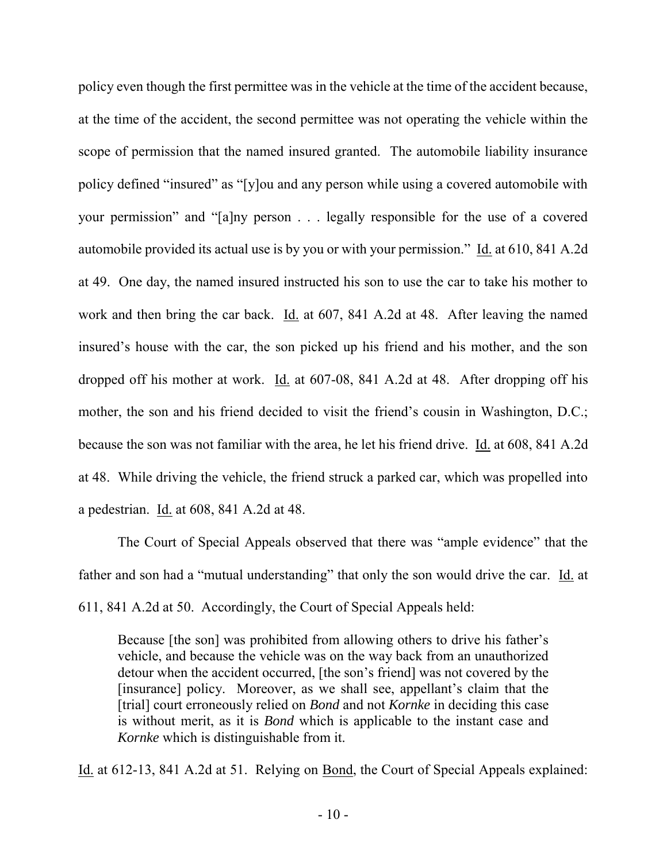policy even though the first permittee was in the vehicle at the time of the accident because, at the time of the accident, the second permittee was not operating the vehicle within the scope of permission that the named insured granted. The automobile liability insurance policy defined "insured" as "[y]ou and any person while using a covered automobile with your permission" and "[a]ny person . . . legally responsible for the use of a covered automobile provided its actual use is by you or with your permission." Id. at 610, 841 A.2d at 49. One day, the named insured instructed his son to use the car to take his mother to work and then bring the car back. Id. at 607, 841 A.2d at 48. After leaving the named insured's house with the car, the son picked up his friend and his mother, and the son dropped off his mother at work. Id. at 607-08, 841 A.2d at 48. After dropping off his mother, the son and his friend decided to visit the friend's cousin in Washington, D.C.; because the son was not familiar with the area, he let his friend drive. Id. at 608, 841 A.2d at 48. While driving the vehicle, the friend struck a parked car, which was propelled into a pedestrian. Id. at 608, 841 A.2d at 48.

 The Court of Special Appeals observed that there was "ample evidence" that the father and son had a "mutual understanding" that only the son would drive the car. Id. at 611, 841 A.2d at 50. Accordingly, the Court of Special Appeals held:

Because [the son] was prohibited from allowing others to drive his father's vehicle, and because the vehicle was on the way back from an unauthorized detour when the accident occurred, [the son's friend] was not covered by the [insurance] policy. Moreover, as we shall see, appellant's claim that the [trial] court erroneously relied on *Bond* and not *Kornke* in deciding this case is without merit, as it is *Bond* which is applicable to the instant case and *Kornke* which is distinguishable from it.

Id. at 612-13, 841 A.2d at 51. Relying on Bond, the Court of Special Appeals explained: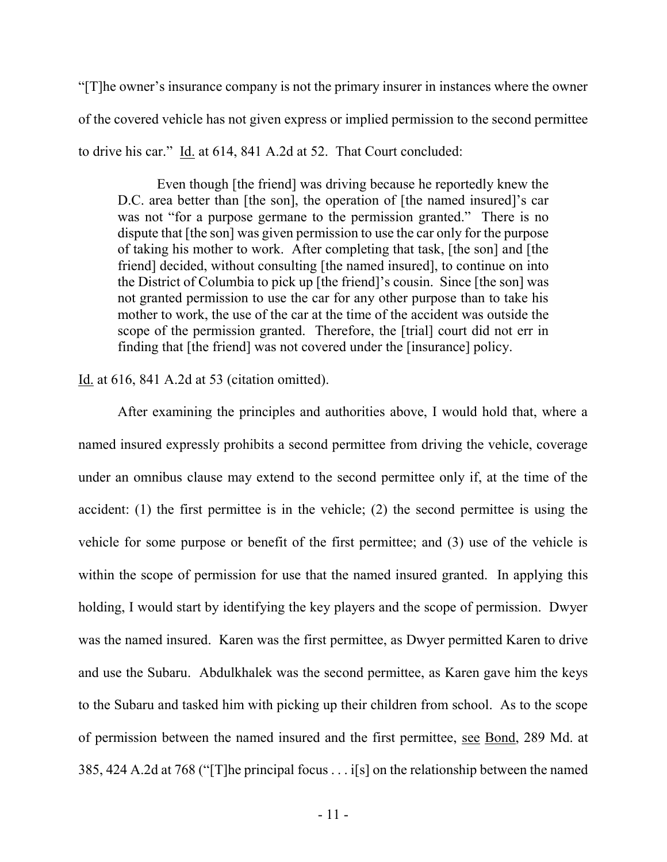"[T]he owner's insurance company is not the primary insurer in instances where the owner of the covered vehicle has not given express or implied permission to the second permittee to drive his car." Id. at 614, 841 A.2d at 52. That Court concluded:

 Even though [the friend] was driving because he reportedly knew the D.C. area better than [the son], the operation of [the named insured]'s car was not "for a purpose germane to the permission granted." There is no dispute that [the son] was given permission to use the car only for the purpose of taking his mother to work. After completing that task, [the son] and [the friend] decided, without consulting [the named insured], to continue on into the District of Columbia to pick up [the friend]'s cousin. Since [the son] was not granted permission to use the car for any other purpose than to take his mother to work, the use of the car at the time of the accident was outside the scope of the permission granted. Therefore, the [trial] court did not err in finding that [the friend] was not covered under the [insurance] policy.

Id. at 616, 841 A.2d at 53 (citation omitted).

After examining the principles and authorities above, I would hold that, where a named insured expressly prohibits a second permittee from driving the vehicle, coverage under an omnibus clause may extend to the second permittee only if, at the time of the accident: (1) the first permittee is in the vehicle; (2) the second permittee is using the vehicle for some purpose or benefit of the first permittee; and (3) use of the vehicle is within the scope of permission for use that the named insured granted. In applying this holding, I would start by identifying the key players and the scope of permission. Dwyer was the named insured. Karen was the first permittee, as Dwyer permitted Karen to drive and use the Subaru. Abdulkhalek was the second permittee, as Karen gave him the keys to the Subaru and tasked him with picking up their children from school. As to the scope of permission between the named insured and the first permittee, see Bond, 289 Md. at 385, 424 A.2d at 768 ("[T]he principal focus . . . i[s] on the relationship between the named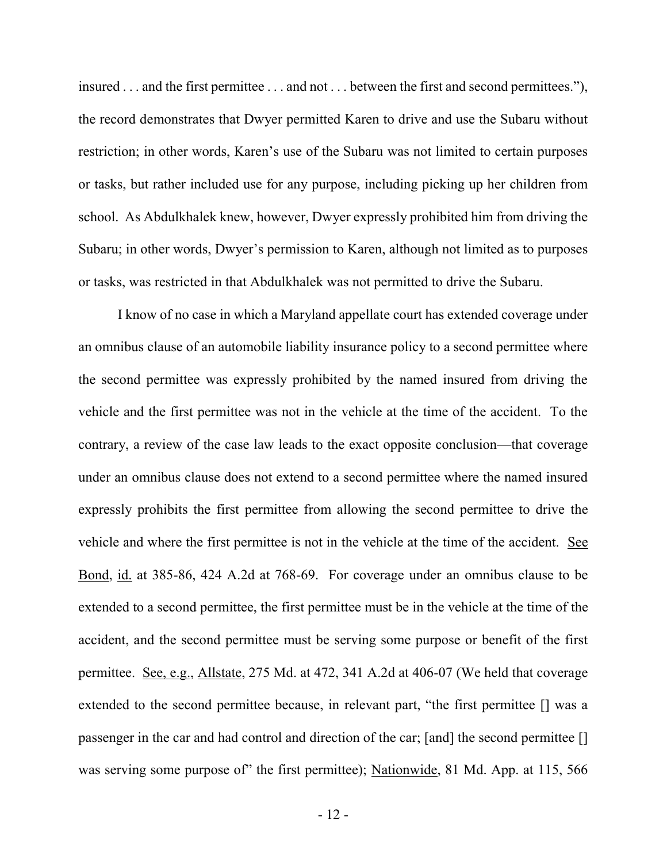insured . . . and the first permittee . . . and not . . . between the first and second permittees."), the record demonstrates that Dwyer permitted Karen to drive and use the Subaru without restriction; in other words, Karen's use of the Subaru was not limited to certain purposes or tasks, but rather included use for any purpose, including picking up her children from school. As Abdulkhalek knew, however, Dwyer expressly prohibited him from driving the Subaru; in other words, Dwyer's permission to Karen, although not limited as to purposes or tasks, was restricted in that Abdulkhalek was not permitted to drive the Subaru.

 I know of no case in which a Maryland appellate court has extended coverage under an omnibus clause of an automobile liability insurance policy to a second permittee where the second permittee was expressly prohibited by the named insured from driving the vehicle and the first permittee was not in the vehicle at the time of the accident. To the contrary, a review of the case law leads to the exact opposite conclusion—that coverage under an omnibus clause does not extend to a second permittee where the named insured expressly prohibits the first permittee from allowing the second permittee to drive the vehicle and where the first permittee is not in the vehicle at the time of the accident. See Bond, id. at 385-86, 424 A.2d at 768-69. For coverage under an omnibus clause to be extended to a second permittee, the first permittee must be in the vehicle at the time of the accident, and the second permittee must be serving some purpose or benefit of the first permittee. See, e.g., Allstate, 275 Md. at 472, 341 A.2d at 406-07 (We held that coverage extended to the second permittee because, in relevant part, "the first permittee [] was a passenger in the car and had control and direction of the car; [and] the second permittee [] was serving some purpose of" the first permittee); Nationwide, 81 Md. App. at 115, 566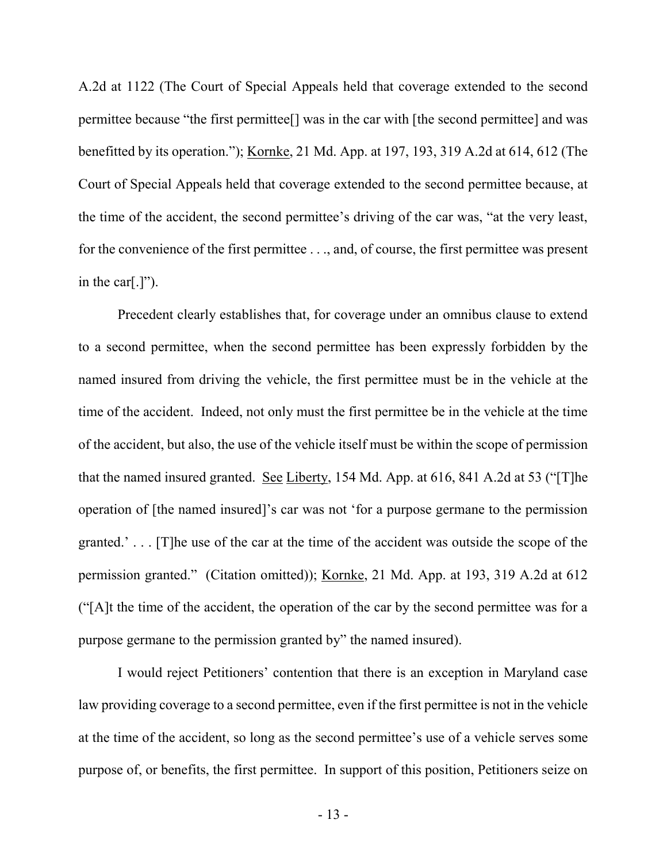A.2d at 1122 (The Court of Special Appeals held that coverage extended to the second permittee because "the first permittee[] was in the car with [the second permittee] and was benefitted by its operation."); Kornke, 21 Md. App. at 197, 193, 319 A.2d at 614, 612 (The Court of Special Appeals held that coverage extended to the second permittee because, at the time of the accident, the second permittee's driving of the car was, "at the very least, for the convenience of the first permittee . . ., and, of course, the first permittee was present in the car[.]").

Precedent clearly establishes that, for coverage under an omnibus clause to extend to a second permittee, when the second permittee has been expressly forbidden by the named insured from driving the vehicle, the first permittee must be in the vehicle at the time of the accident. Indeed, not only must the first permittee be in the vehicle at the time of the accident, but also, the use of the vehicle itself must be within the scope of permission that the named insured granted. See Liberty, 154 Md. App. at 616, 841 A.2d at 53 ("[T]he operation of [the named insured]'s car was not 'for a purpose germane to the permission granted.' . . . [T]he use of the car at the time of the accident was outside the scope of the permission granted." (Citation omitted)); Kornke, 21 Md. App. at 193, 319 A.2d at 612 ("[A]t the time of the accident, the operation of the car by the second permittee was for a purpose germane to the permission granted by" the named insured).

 I would reject Petitioners' contention that there is an exception in Maryland case law providing coverage to a second permittee, even if the first permittee is not in the vehicle at the time of the accident, so long as the second permittee's use of a vehicle serves some purpose of, or benefits, the first permittee. In support of this position, Petitioners seize on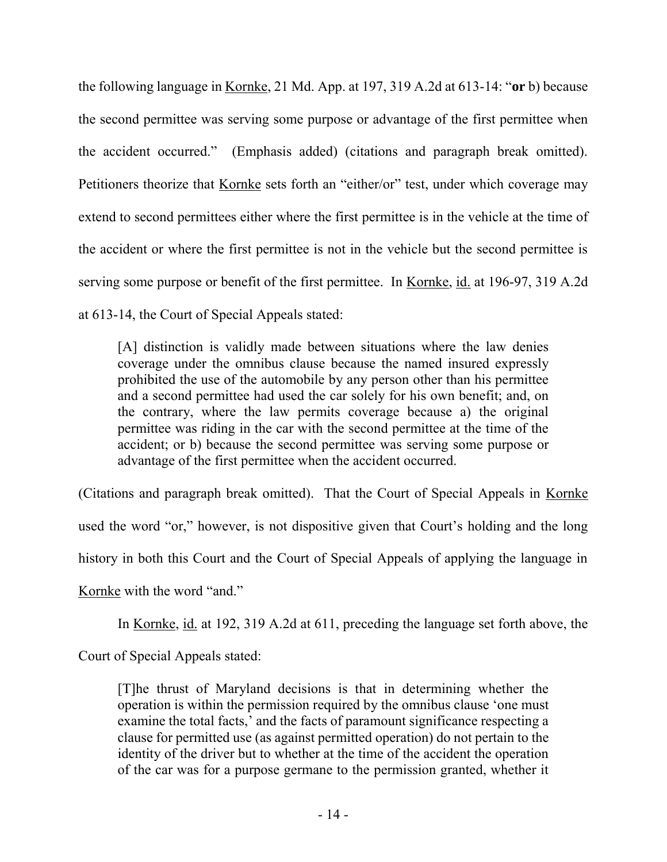the following language in Kornke, 21 Md. App. at 197, 319 A.2d at 613-14: "**or** b) because the second permittee was serving some purpose or advantage of the first permittee when the accident occurred." (Emphasis added) (citations and paragraph break omitted). Petitioners theorize that Kornke sets forth an "either/or" test, under which coverage may extend to second permittees either where the first permittee is in the vehicle at the time of the accident or where the first permittee is not in the vehicle but the second permittee is serving some purpose or benefit of the first permittee. In Kornke, id. at 196-97, 319 A.2d at 613-14, the Court of Special Appeals stated:

[A] distinction is validly made between situations where the law denies coverage under the omnibus clause because the named insured expressly prohibited the use of the automobile by any person other than his permittee and a second permittee had used the car solely for his own benefit; and, on the contrary, where the law permits coverage because a) the original permittee was riding in the car with the second permittee at the time of the accident; or b) because the second permittee was serving some purpose or advantage of the first permittee when the accident occurred.

(Citations and paragraph break omitted). That the Court of Special Appeals in Kornke used the word "or," however, is not dispositive given that Court's holding and the long history in both this Court and the Court of Special Appeals of applying the language in Kornke with the word "and."

In Kornke, id. at 192, 319 A.2d at 611, preceding the language set forth above, the

Court of Special Appeals stated:

[T]he thrust of Maryland decisions is that in determining whether the operation is within the permission required by the omnibus clause 'one must examine the total facts,' and the facts of paramount significance respecting a clause for permitted use (as against permitted operation) do not pertain to the identity of the driver but to whether at the time of the accident the operation of the car was for a purpose germane to the permission granted, whether it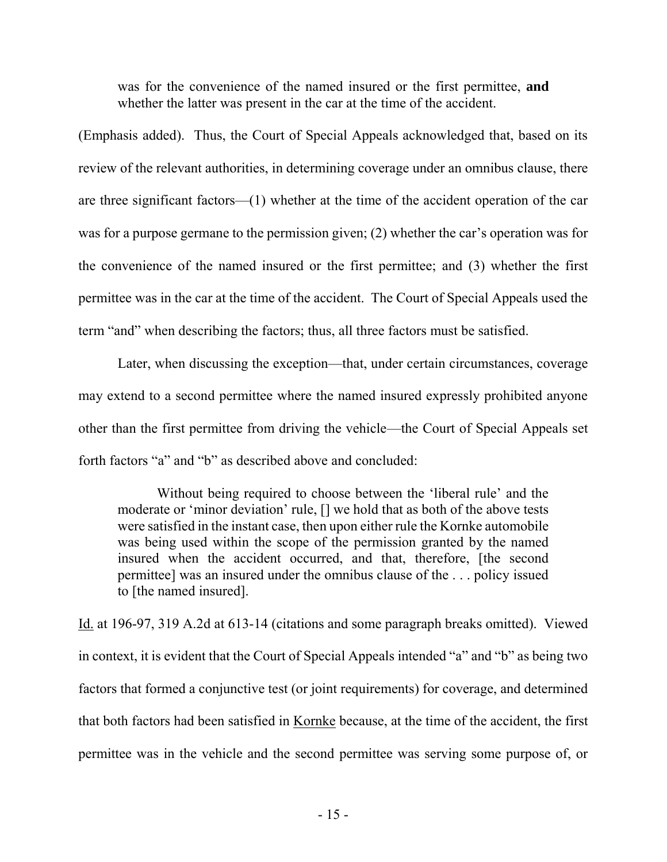was for the convenience of the named insured or the first permittee, **and** whether the latter was present in the car at the time of the accident.

(Emphasis added). Thus, the Court of Special Appeals acknowledged that, based on its review of the relevant authorities, in determining coverage under an omnibus clause, there are three significant factors—(1) whether at the time of the accident operation of the car was for a purpose germane to the permission given; (2) whether the car's operation was for the convenience of the named insured or the first permittee; and (3) whether the first permittee was in the car at the time of the accident. The Court of Special Appeals used the term "and" when describing the factors; thus, all three factors must be satisfied.

Later, when discussing the exception—that, under certain circumstances, coverage may extend to a second permittee where the named insured expressly prohibited anyone other than the first permittee from driving the vehicle—the Court of Special Appeals set forth factors "a" and "b" as described above and concluded:

 Without being required to choose between the 'liberal rule' and the moderate or 'minor deviation' rule, [] we hold that as both of the above tests were satisfied in the instant case, then upon either rule the Kornke automobile was being used within the scope of the permission granted by the named insured when the accident occurred, and that, therefore, [the second permittee] was an insured under the omnibus clause of the . . . policy issued to [the named insured].

Id. at 196-97, 319 A.2d at 613-14 (citations and some paragraph breaks omitted). Viewed in context, it is evident that the Court of Special Appeals intended "a" and "b" as being two factors that formed a conjunctive test (or joint requirements) for coverage, and determined that both factors had been satisfied in Kornke because, at the time of the accident, the first permittee was in the vehicle and the second permittee was serving some purpose of, or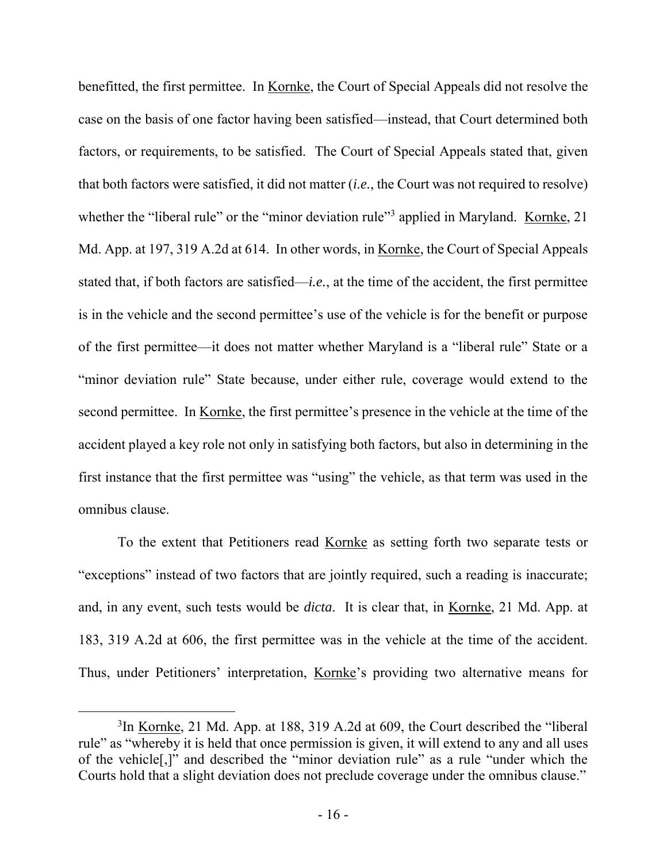benefitted, the first permittee. In Kornke, the Court of Special Appeals did not resolve the case on the basis of one factor having been satisfied—instead, that Court determined both factors, or requirements, to be satisfied. The Court of Special Appeals stated that, given that both factors were satisfied, it did not matter (*i.e.*, the Court was not required to resolve) whether the "liberal rule" or the "minor deviation rule"<sup>3</sup> applied in Maryland. Kornke, 21 Md. App. at 197, 319 A.2d at 614. In other words, in Kornke, the Court of Special Appeals stated that, if both factors are satisfied—*i.e.*, at the time of the accident, the first permittee is in the vehicle and the second permittee's use of the vehicle is for the benefit or purpose of the first permittee—it does not matter whether Maryland is a "liberal rule" State or a "minor deviation rule" State because, under either rule, coverage would extend to the second permittee. In Kornke, the first permittee's presence in the vehicle at the time of the accident played a key role not only in satisfying both factors, but also in determining in the first instance that the first permittee was "using" the vehicle, as that term was used in the omnibus clause.

To the extent that Petitioners read Kornke as setting forth two separate tests or "exceptions" instead of two factors that are jointly required, such a reading is inaccurate; and, in any event, such tests would be *dicta*. It is clear that, in Kornke, 21 Md. App. at 183, 319 A.2d at 606, the first permittee was in the vehicle at the time of the accident. Thus, under Petitioners' interpretation, Kornke's providing two alternative means for

 $\overline{a}$ 

<sup>&</sup>lt;sup>3</sup>In <u>Kornke</u>, 21 Md. App. at 188, 319 A.2d at 609, the Court described the "liberal" rule" as "whereby it is held that once permission is given, it will extend to any and all uses of the vehicle[,]" and described the "minor deviation rule" as a rule "under which the Courts hold that a slight deviation does not preclude coverage under the omnibus clause."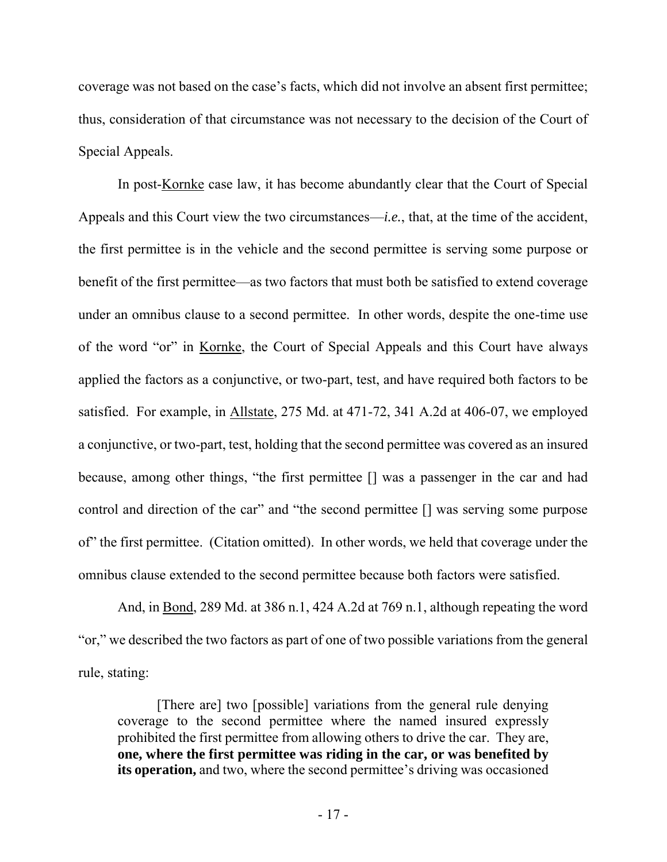coverage was not based on the case's facts, which did not involve an absent first permittee; thus, consideration of that circumstance was not necessary to the decision of the Court of Special Appeals.

In post-Kornke case law, it has become abundantly clear that the Court of Special Appeals and this Court view the two circumstances—*i.e.*, that, at the time of the accident, the first permittee is in the vehicle and the second permittee is serving some purpose or benefit of the first permittee—as two factors that must both be satisfied to extend coverage under an omnibus clause to a second permittee. In other words, despite the one-time use of the word "or" in Kornke, the Court of Special Appeals and this Court have always applied the factors as a conjunctive, or two-part, test, and have required both factors to be satisfied. For example, in Allstate, 275 Md. at 471-72, 341 A.2d at 406-07, we employed a conjunctive, or two-part, test, holding that the second permittee was covered as an insured because, among other things, "the first permittee [] was a passenger in the car and had control and direction of the car" and "the second permittee [] was serving some purpose of" the first permittee. (Citation omitted). In other words, we held that coverage under the omnibus clause extended to the second permittee because both factors were satisfied.

And, in Bond, 289 Md. at 386 n.1, 424 A.2d at 769 n.1, although repeating the word "or," we described the two factors as part of one of two possible variations from the general rule, stating:

[There are] two [possible] variations from the general rule denying coverage to the second permittee where the named insured expressly prohibited the first permittee from allowing others to drive the car. They are, **one, where the first permittee was riding in the car, or was benefited by its operation,** and two, where the second permittee's driving was occasioned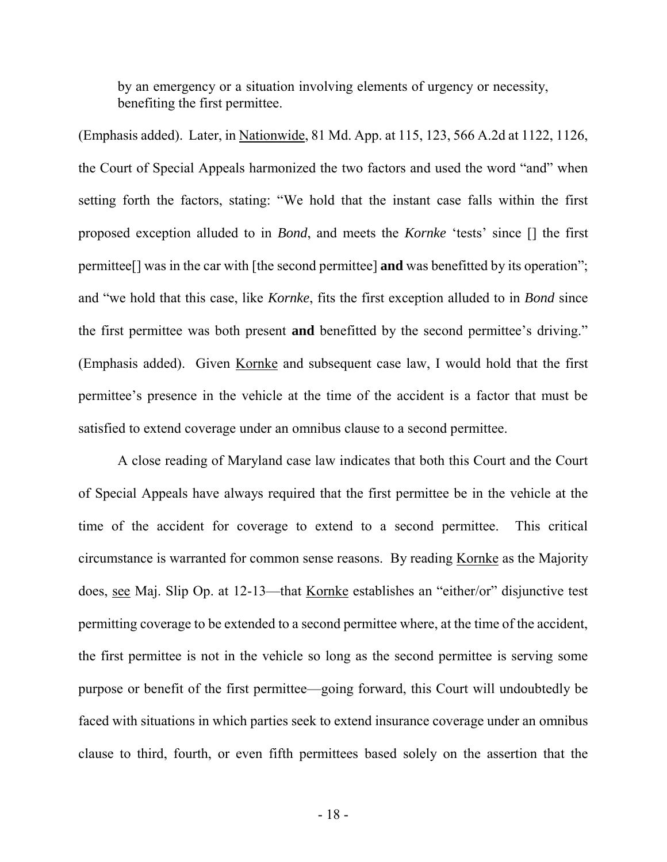by an emergency or a situation involving elements of urgency or necessity, benefiting the first permittee.

(Emphasis added). Later, in Nationwide, 81 Md. App. at 115, 123, 566 A.2d at 1122, 1126, the Court of Special Appeals harmonized the two factors and used the word "and" when setting forth the factors, stating: "We hold that the instant case falls within the first proposed exception alluded to in *Bond*, and meets the *Kornke* 'tests' since [] the first permittee[] was in the car with [the second permittee] **and** was benefitted by its operation"; and "we hold that this case, like *Kornke*, fits the first exception alluded to in *Bond* since the first permittee was both present **and** benefitted by the second permittee's driving." (Emphasis added). Given Kornke and subsequent case law, I would hold that the first permittee's presence in the vehicle at the time of the accident is a factor that must be satisfied to extend coverage under an omnibus clause to a second permittee.

A close reading of Maryland case law indicates that both this Court and the Court of Special Appeals have always required that the first permittee be in the vehicle at the time of the accident for coverage to extend to a second permittee. This critical circumstance is warranted for common sense reasons. By reading Kornke as the Majority does, see Maj. Slip Op. at 12-13—that Kornke establishes an "either/or" disjunctive test permitting coverage to be extended to a second permittee where, at the time of the accident, the first permittee is not in the vehicle so long as the second permittee is serving some purpose or benefit of the first permittee—going forward, this Court will undoubtedly be faced with situations in which parties seek to extend insurance coverage under an omnibus clause to third, fourth, or even fifth permittees based solely on the assertion that the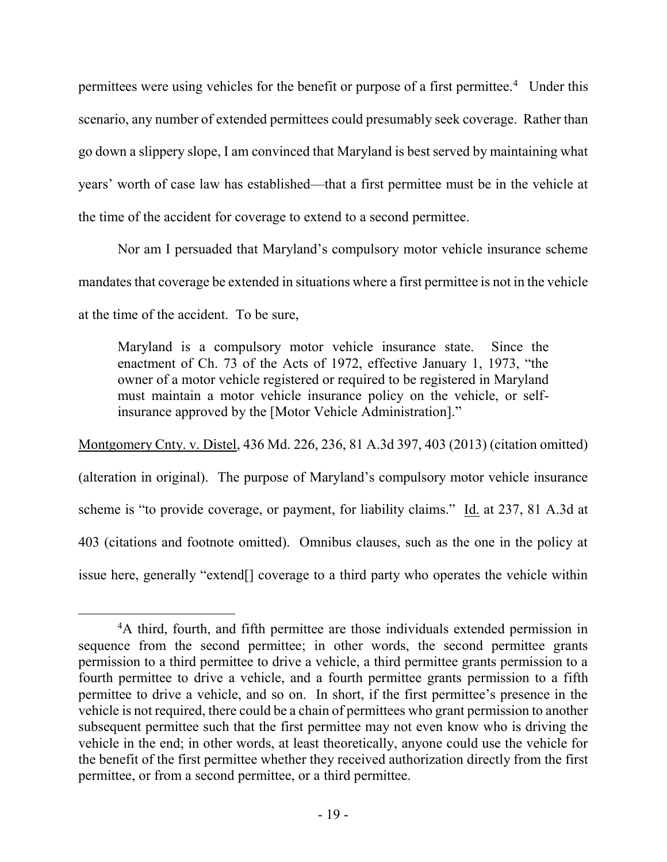permittees were using vehicles for the benefit or purpose of a first permittee.<sup>4</sup> Under this scenario, any number of extended permittees could presumably seek coverage. Rather than go down a slippery slope, I am convinced that Maryland is best served by maintaining what years' worth of case law has established—that a first permittee must be in the vehicle at the time of the accident for coverage to extend to a second permittee.

Nor am I persuaded that Maryland's compulsory motor vehicle insurance scheme mandates that coverage be extended in situations where a first permittee is not in the vehicle at the time of the accident. To be sure,

Maryland is a compulsory motor vehicle insurance state. Since the enactment of Ch. 73 of the Acts of 1972, effective January 1, 1973, "the owner of a motor vehicle registered or required to be registered in Maryland must maintain a motor vehicle insurance policy on the vehicle, or selfinsurance approved by the [Motor Vehicle Administration]."

Montgomery Cnty. v. Distel, 436 Md. 226, 236, 81 A.3d 397, 403 (2013) (citation omitted) (alteration in original). The purpose of Maryland's compulsory motor vehicle insurance scheme is "to provide coverage, or payment, for liability claims." Id. at 237, 81 A.3d at 403 (citations and footnote omitted). Omnibus clauses, such as the one in the policy at issue here, generally "extend[] coverage to a third party who operates the vehicle within

 $\overline{a}$ 

<sup>&</sup>lt;sup>4</sup>A third, fourth, and fifth permittee are those individuals extended permission in sequence from the second permittee; in other words, the second permittee grants permission to a third permittee to drive a vehicle, a third permittee grants permission to a fourth permittee to drive a vehicle, and a fourth permittee grants permission to a fifth permittee to drive a vehicle, and so on. In short, if the first permittee's presence in the vehicle is not required, there could be a chain of permittees who grant permission to another subsequent permittee such that the first permittee may not even know who is driving the vehicle in the end; in other words, at least theoretically, anyone could use the vehicle for the benefit of the first permittee whether they received authorization directly from the first permittee, or from a second permittee, or a third permittee.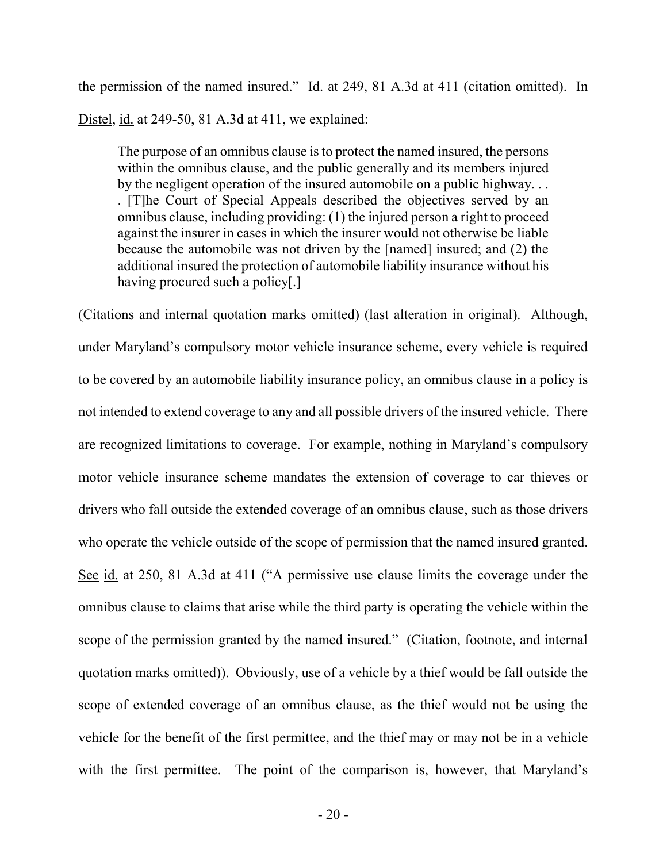the permission of the named insured." Id. at 249, 81 A.3d at 411 (citation omitted). In Distel, id. at 249-50, 81 A.3d at 411, we explained:

The purpose of an omnibus clause is to protect the named insured, the persons within the omnibus clause, and the public generally and its members injured by the negligent operation of the insured automobile on a public highway. . . . [T]he Court of Special Appeals described the objectives served by an omnibus clause, including providing: (1) the injured person a right to proceed against the insurer in cases in which the insurer would not otherwise be liable because the automobile was not driven by the [named] insured; and (2) the additional insured the protection of automobile liability insurance without his having procured such a policy[.]

(Citations and internal quotation marks omitted) (last alteration in original). Although, under Maryland's compulsory motor vehicle insurance scheme, every vehicle is required to be covered by an automobile liability insurance policy, an omnibus clause in a policy is not intended to extend coverage to any and all possible drivers of the insured vehicle. There are recognized limitations to coverage. For example, nothing in Maryland's compulsory motor vehicle insurance scheme mandates the extension of coverage to car thieves or drivers who fall outside the extended coverage of an omnibus clause, such as those drivers who operate the vehicle outside of the scope of permission that the named insured granted. See id. at 250, 81 A.3d at 411 ("A permissive use clause limits the coverage under the omnibus clause to claims that arise while the third party is operating the vehicle within the scope of the permission granted by the named insured." (Citation, footnote, and internal quotation marks omitted)). Obviously, use of a vehicle by a thief would be fall outside the scope of extended coverage of an omnibus clause, as the thief would not be using the vehicle for the benefit of the first permittee, and the thief may or may not be in a vehicle with the first permittee. The point of the comparison is, however, that Maryland's